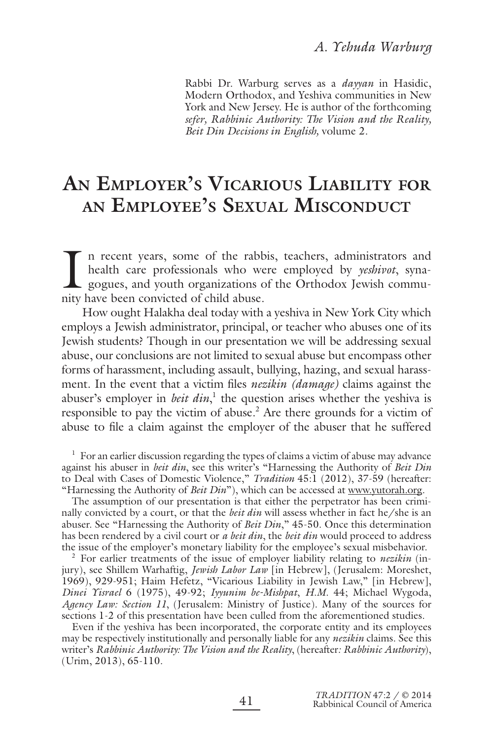Rabbi Dr. Warburg serves as a *dayyan* in Hasidic, Modern Orthodox, and Yeshiva communities in New York and New Jersey. He is author of the forthcoming *sefer, Rabbinic Authority: The Vision and the Reality, Beit Din Decisions in English,* volume 2.

# **AN EMPLOYER'S VICARIOUS LIABILITY FOR AN EMPLOYEE'S SEXUAL MISCONDUCT**

I in recent years, some of the rabbited health care professionals who we gogues, and youth organizations on ity have been convicted of child abuse. n recent years, some of the rabbis, teachers, administrators and health care professionals who were employed by *yeshivot*, synagogues, and youth organizations of the Orthodox Jewish commu-

How ought Halakha deal today with a yeshiva in New York City which employs a Jewish administrator, principal, or teacher who abuses one of its Jewish students? Though in our presentation we will be addressing sexual abuse, our conclusions are not limited to sexual abuse but encompass other forms of harassment, including assault, bullying, hazing, and sexual harassment. In the event that a victim files *nezikin (damage)* claims against the abuser's employer in *beit din*,<sup>1</sup> the question arises whether the yeshiva is responsible to pay the victim of abuse.<sup>2</sup> Are there grounds for a victim of abuse to file a claim against the employer of the abuser that he suffered

 $1$  For an earlier discussion regarding the types of claims a victim of abuse may advance against his abuser in *beit din*, see this writer's "Harnessing the Authority of *Beit Din* to Deal with Cases of Domestic Violence," *Tradition* 45:1 (2012), 37-59 (hereafter: "Harnessing the Authority of *Beit Din*"), which can be accessed at www.yutorah.org.

The assumption of our presentation is that either the perpetrator has been criminally convicted by a court, or that the *beit din* will assess whether in fact he/she is an abuser. See "Harnessing the Authority of *Beit Din*," 45-50. Once this determination has been rendered by a civil court or *a beit din*, the *beit din* would proceed to address the issue of the employer's monetary liability for the employee's sexual misbehavior.

2 For earlier treatments of the issue of employer liability relating to *nezikin* (injury), see Shillem Warhaftig, *Jewish Labor Law* [in Hebrew], (Jerusalem: Moreshet, 1969), 929-951; Haim Hefetz, "Vicarious Liability in Jewish Law," [in Hebrew], *Dinei Yisrael* 6 (1975), 49-92; *Iyyunim be-Mishpat*, *H.M.* 44; Michael Wygoda, *Agency Law: Section 11*, (Jerusalem: Ministry of Justice). Many of the sources for sections 1-2 of this presentation have been culled from the aforementioned studies.

Even if the yeshiva has been incorporated, the corporate entity and its employees may be respectively institutionally and personally liable for any *nezikin* claims. See this writer's *Rabbinic Authority: The Vision and the Reality*, (hereafter*: Rabbinic Authority*), (Urim, 2013), 65-110.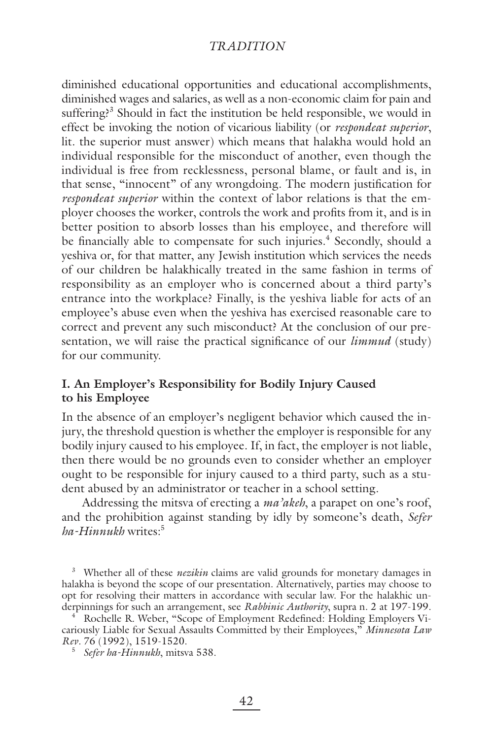diminished educational opportunities and educational accomplishments, diminished wages and salaries, as well as a non-economic claim for pain and suffering?<sup>3</sup> Should in fact the institution be held responsible, we would in effect be invoking the notion of vicarious liability (or *respondeat superior*, lit. the superior must answer) which means that halakha would hold an individual responsible for the misconduct of another, even though the individual is free from recklessness, personal blame, or fault and is, in that sense, "innocent" of any wrongdoing. The modern justification for *respondeat superior* within the context of labor relations is that the employer chooses the worker, controls the work and profits from it, and is in better position to absorb losses than his employee, and therefore will be financially able to compensate for such injuries.<sup>4</sup> Secondly, should a yeshiva or, for that matter, any Jewish institution which services the needs of our children be halakhically treated in the same fashion in terms of responsibility as an employer who is concerned about a third party's entrance into the workplace? Finally, is the yeshiva liable for acts of an employee's abuse even when the yeshiva has exercised reasonable care to correct and prevent any such misconduct? At the conclusion of our presentation, we will raise the practical significance of our *limmud* (study) for our community.

# **I. An Employer's Responsibility for Bodily Injury Caused to his Employee**

In the absence of an employer's negligent behavior which caused the injury, the threshold question is whether the employer is responsible for any bodily injury caused to his employee. If, in fact, the employer is not liable, then there would be no grounds even to consider whether an employer ought to be responsible for injury caused to a third party, such as a student abused by an administrator or teacher in a school setting.

Addressing the mitsva of erecting a *ma'akeh*, a parapet on one's roof, and the prohibition against standing by idly by someone's death, *Sefer ha-Hinnukh* writes:5

<sup>3</sup> Whether all of these *nezikin* claims are valid grounds for monetary damages in halakha is beyond the scope of our presentation. Alternatively, parties may choose to opt for resolving their matters in accordance with secular law. For the halakhic underpinnings for such an arrangement, see *Rabbinic Authority*, supra n. 2 at 197-199.

4 Rochelle R. Weber, "Scope of Employment Redefined: Holding Employers Vicariously Liable for Sexual Assaults Committed by their Employees," *Minnesota Law Rev.* 76 (1992), 1519-1520.

*Sefer ha-Hinnukh*, mitsva 538.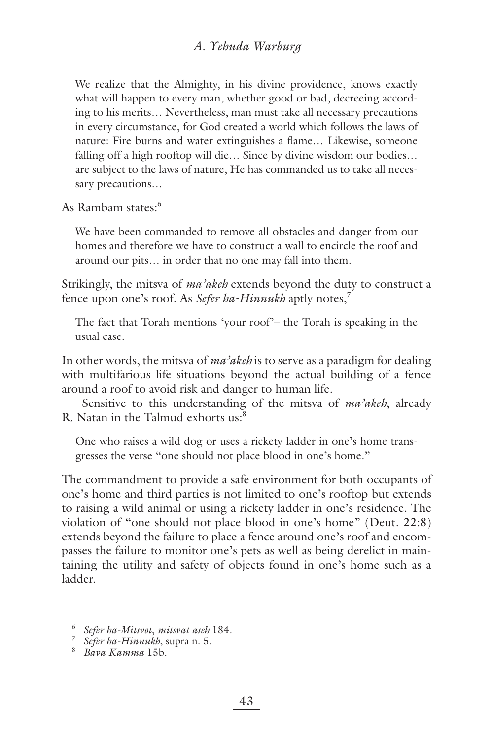# *A. Yehuda Warburg*

We realize that the Almighty, in his divine providence, knows exactly what will happen to every man, whether good or bad, decreeing according to his merits… Nevertheless, man must take all necessary precautions in every circumstance, for God created a world which follows the laws of nature: Fire burns and water extinguishes a flame... Likewise, someone falling off a high rooftop will die… Since by divine wisdom our bodies… are subject to the laws of nature, He has commanded us to take all necessary precautions…

As Rambam states:<sup>6</sup>

We have been commanded to remove all obstacles and danger from our homes and therefore we have to construct a wall to encircle the roof and around our pits… in order that no one may fall into them.

Strikingly, the mitsva of *ma'akeh* extends beyond the duty to construct a fence upon one's roof. As *Sefer ha-Hinnukh* aptly notes,7

The fact that Torah mentions 'your roof'– the Torah is speaking in the usual case.

In other words, the mitsva of *ma'akeh* is to serve as a paradigm for dealing with multifarious life situations beyond the actual building of a fence around a roof to avoid risk and danger to human life.

Sensitive to this understanding of the mitsva of *ma'akeh*, already R. Natan in the Talmud exhorts us:<sup>8</sup>

One who raises a wild dog or uses a rickety ladder in one's home transgresses the verse "one should not place blood in one's home."

The commandment to provide a safe environment for both occupants of one's home and third parties is not limited to one's rooftop but extends to raising a wild animal or using a rickety ladder in one's residence. The violation of "one should not place blood in one's home" (Deut. 22:8) extends beyond the failure to place a fence around one's roof and encompasses the failure to monitor one's pets as well as being derelict in maintaining the utility and safety of objects found in one's home such as a ladder.

- 6 *Sefer ha-Mitsvot*, *mitsvat aseh* 184.
- <sup>7</sup> *Sefer ha-Hinnukh*, supra n. 5.<br><sup>8</sup> *Bava Kamma* 15b.
-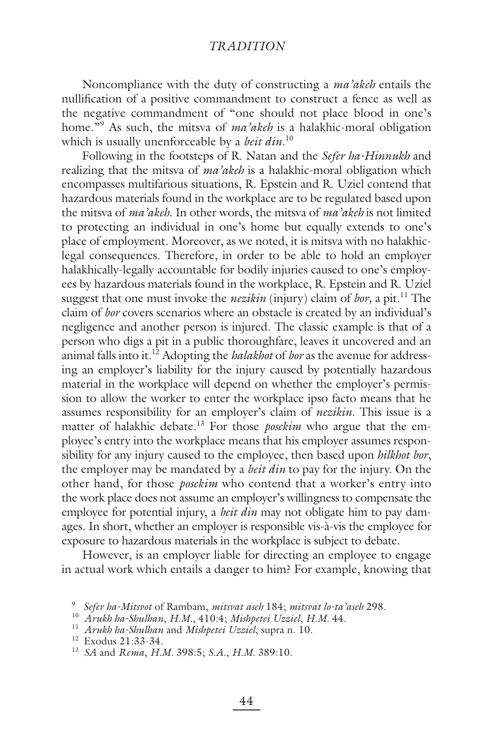Noncompliance with the duty of constructing a *ma'akeh* entails the nullification of a positive commandment to construct a fence as well as the negative commandment of "one should not place blood in one's home."9 As such, the mitsva of *ma'akeh* is a halakhic-moral obligation which is usually unenforceable by a *beit din*. 10

Following in the footsteps of R. Natan and the *Sefer ha-Hinnukh* and realizing that the mitsva of *ma'akeh* is a halakhic-moral obligation which encompasses multifarious situations, R. Epstein and R. Uziel contend that hazardous materials found in the workplace are to be regulated based upon the mitsva of *ma'akeh*. In other words, the mitsva of *ma'akeh* is not limited to protecting an individual in one's home but equally extends to one's place of employment. Moreover, as we noted, it is mitsva with no halakhiclegal consequences. Therefore, in order to be able to hold an employer halakhically-legally accountable for bodily injuries caused to one's employees by hazardous materials found in the workplace, R. Epstein and R. Uziel suggest that one must invoke the *nezikin* (injury) claim of *bor*, a pit.<sup>11</sup> The claim of *bor* covers scenarios where an obstacle is created by an individual's negligence and another person is injured. The classic example is that of a person who digs a pit in a public thoroughfare, leaves it uncovered and an animal falls into it.12 Adopting the *halakhot* of *bor* as the avenue for addressing an employer's liability for the injury caused by potentially hazardous material in the workplace will depend on whether the employer's permission to allow the worker to enter the workplace ipso facto means that he assumes responsibility for an employer's claim of *nezikin*. This issue is a matter of halakhic debate.<sup>13</sup> For those *posekim* who argue that the employee's entry into the workplace means that his employer assumes responsibility for any injury caused to the employee, then based upon *hilkhot bor*, the employer may be mandated by a *beit din* to pay for the injury. On the other hand, for those *posekim* who contend that a worker's entry into the work place does not assume an employer's willingness to compensate the employee for potential injury, a *beit din* may not obligate him to pay damages. In short, whether an employer is responsible vis-à-vis the employee for exposure to hazardous materials in the workplace is subject to debate.

However, is an employer liable for directing an employee to engage in actual work which entails a danger to him? For example, knowing that

<sup>9</sup> *Sefer ha-Mitsvot* of Rambam, *mitsvat aseh* 184; *mitsvat lo-ta'aseh* 298.

<sup>10</sup> *Arukh ha-Shulhan*, *H.M.*, 410:4; *Mishpetei Uzziel*, *H.M.* 44.

<sup>11</sup> *Arukh ha-Shulhan* and *Mishpetei Uzziel*, supra n. 10.

<sup>12</sup> Exodus 21:33-34.

<sup>13</sup> *SA* and *Rema*, *H.M.* 398:5; *S.A.*, *H.M.* 389:10.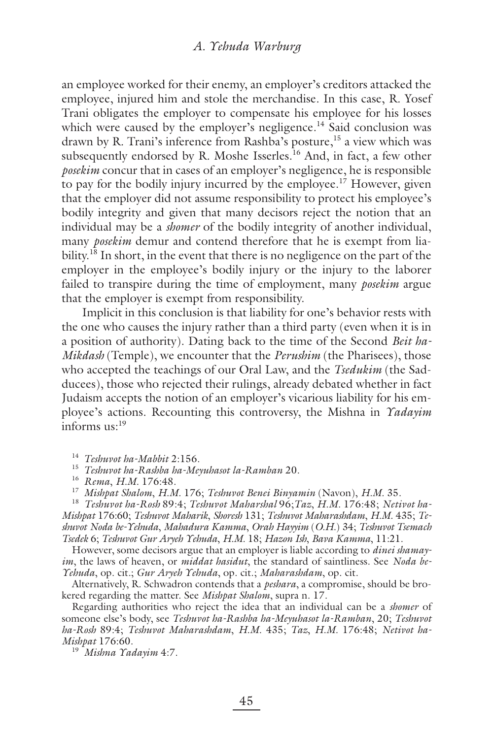an employee worked for their enemy, an employer's creditors attacked the employee, injured him and stole the merchandise. In this case, R. Yosef Trani obligates the employer to compensate his employee for his losses which were caused by the employer's negligence.<sup>14</sup> Said conclusion was drawn by R. Trani's inference from Rashba's posture,<sup>15</sup> a view which was subsequently endorsed by R. Moshe Isserles.<sup>16</sup> And, in fact, a few other *posekim* concur that in cases of an employer's negligence, he is responsible to pay for the bodily injury incurred by the employee.<sup>17</sup> However, given that the employer did not assume responsibility to protect his employee's bodily integrity and given that many decisors reject the notion that an individual may be a *shomer* of the bodily integrity of another individual, many *posekim* demur and contend therefore that he is exempt from liability.<sup>18</sup> In short, in the event that there is no negligence on the part of the employer in the employee's bodily injury or the injury to the laborer failed to transpire during the time of employment, many *posekim* argue that the employer is exempt from responsibility.

Implicit in this conclusion is that liability for one's behavior rests with the one who causes the injury rather than a third party (even when it is in a position of authority). Dating back to the time of the Second *Beit ha-Mikdash* (Temple), we encounter that the *Perushim* (the Pharisees), those who accepted the teachings of our Oral Law, and the *Tsedukim* (the Sadducees), those who rejected their rulings, already debated whether in fact Judaism accepts the notion of an employer's vicarious liability for his employee's actions. Recounting this controversy, the Mishna in *Yadayim* informs  $us<sup>19</sup>$ 

<sup>14</sup> *Teshuvot ha-Mabbit* 2:156.

<sup>15</sup> *Teshuvot ha-Rashba ha-Meyuhasot la-Ramban* 20.

<sup>16</sup> *Rema*, *H.M.* 176:48.

<sup>17</sup> *Mishpat Shalom*, *H.M.* 176; *Teshuvot Benei Binyamin* (Navon), *H.M.* 35.

<sup>18</sup> *Teshuvot ha-Rosh* 89:4; *Teshuvot Maharshal* 96;*Taz*, *H.M.* 176:48; *Netivot ha-Mishpat* 176:60; *Teshuvot Maharik*, *Shoresh* 131; *Teshuvot Maharashdam*, *H.M.* 435; *Teshuvot Noda be-Yehuda*, *Mahadura Kamma*, *Orah Hayyim* (*O.H.*) 34; *Teshuvot Tsemach Tsedek* 6; *Teshuvot Gur Aryeh Yehuda*, *H.M.* 18; *Hazon Ish*, *Bava Kamma*, 11:21.

However, some decisors argue that an employer is liable according to *dinei shamayim*, the laws of heaven, or *middat hasidut*, the standard of saintliness. See *Noda be-Yehuda*, op. cit*.*; *Gur Aryeh Yehuda*, op. cit.; *Maharashdam*, op. cit.

Alternatively, R. Schwadron contends that a *peshara*, a compromise, should be brokered regarding the matter. See *Mishpat Shalom*, supra n. 17.

Regarding authorities who reject the idea that an individual can be a *shomer* of someone else's body, see *Teshuvot ha-Rashba ha-Meyuhasot la-Ramban*, 20; *Teshuvot ha-Rosh* 89:4; *Teshuvot Maharashdam*, *H.M.* 435; *Taz*, *H.M.* 176:48; *Netivot ha-Mishpat* 176:60. 19 *Mishna Yadayim* 4:7.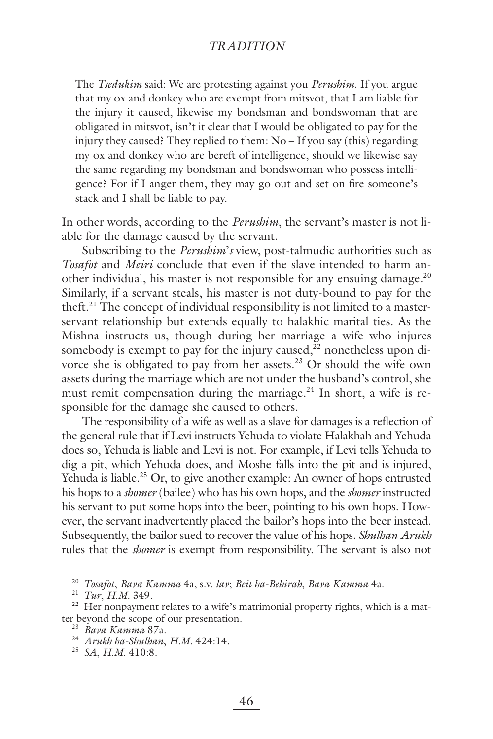The *Tsedukim* said: We are protesting against you *Perushim*. If you argue that my ox and donkey who are exempt from mitsvot, that I am liable for the injury it caused, likewise my bondsman and bondswoman that are obligated in mitsvot, isn't it clear that I would be obligated to pay for the injury they caused? They replied to them: No – If you say (this) regarding my ox and donkey who are bereft of intelligence, should we likewise say the same regarding my bondsman and bondswoman who possess intelligence? For if I anger them, they may go out and set on fire someone's stack and I shall be liable to pay.

In other words, according to the *Perushim*, the servant's master is not liable for the damage caused by the servant.

Subscribing to the *Perushim*'*s* view, post-talmudic authorities such as *Tosafot* and *Meiri* conclude that even if the slave intended to harm another individual, his master is not responsible for any ensuing damage.<sup>20</sup> Similarly, if a servant steals, his master is not duty-bound to pay for the theft.<sup>21</sup> The concept of individual responsibility is not limited to a masterservant relationship but extends equally to halakhic marital ties. As the Mishna instructs us, though during her marriage a wife who injures somebody is exempt to pay for the injury caused, $^{22}$  nonetheless upon divorce she is obligated to pay from her assets.<sup>23</sup> Or should the wife own assets during the marriage which are not under the husband's control, she must remit compensation during the marriage. $^{24}$  In short, a wife is responsible for the damage she caused to others.

The responsibility of a wife as well as a slave for damages is a reflection of the general rule that if Levi instructs Yehuda to violate Halakhah and Yehuda does so, Yehuda is liable and Levi is not. For example, if Levi tells Yehuda to dig a pit, which Yehuda does, and Moshe falls into the pit and is injured, Yehuda is liable.<sup>25</sup> Or, to give another example: An owner of hops entrusted his hops to a *shomer* (bailee) who has his own hops, and the *shomer* instructed his servant to put some hops into the beer, pointing to his own hops. However, the servant inadvertently placed the bailor's hops into the beer instead. Subsequently, the bailor sued to recover the value of his hops. *Shulhan Arukh* rules that the *shomer* is exempt from responsibility. The servant is also not

<sup>20</sup> *Tosafot*, *Bava Kamma* 4a, s.v. *lav*; *Beit ha-Behirah*, *Bava Kamma* 4a.

<sup>21</sup> *Tur*, *H.M.* 349.

<sup>22</sup> Her nonpayment relates to a wife's matrimonial property rights, which is a matter beyond the scope of our presentation.

<sup>24</sup> *Arukh ha-Shulhan*, *H.M.* 424:14.

<sup>25</sup> *SA*, *H.M.* 410:8.

<sup>23</sup> *Bava Kamma* 87a.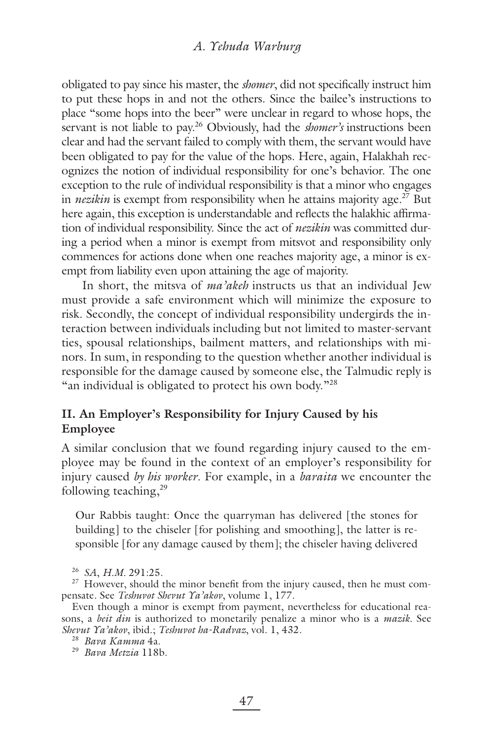obligated to pay since his master, the *shomer*, did not specifically instruct him to put these hops in and not the others. Since the bailee's instructions to place "some hops into the beer" were unclear in regard to whose hops, the servant is not liable to pay.<sup>26</sup> Obviously, had the *shomer's* instructions been clear and had the servant failed to comply with them, the servant would have been obligated to pay for the value of the hops. Here, again, Halakhah recognizes the notion of individual responsibility for one's behavior. The one exception to the rule of individual responsibility is that a minor who engages in *nezikin* is exempt from responsibility when he attains majority age.<sup>27</sup> But here again, this exception is understandable and reflects the halakhic affirmation of individual responsibility. Since the act of *nezikin* was committed during a period when a minor is exempt from mitsvot and responsibility only commences for actions done when one reaches majority age, a minor is exempt from liability even upon attaining the age of majority.

In short, the mitsva of *ma'akeh* instructs us that an individual Jew must provide a safe environment which will minimize the exposure to risk. Secondly, the concept of individual responsibility undergirds the interaction between individuals including but not limited to master-servant ties, spousal relationships, bailment matters, and relationships with minors. In sum, in responding to the question whether another individual is responsible for the damage caused by someone else, the Talmudic reply is "an individual is obligated to protect his own body."<sup>28</sup>

# **II. An Employer's Responsibility for Injury Caused by his Employee**

A similar conclusion that we found regarding injury caused to the employee may be found in the context of an employer's responsibility for injury caused *by his worker*. For example, in a *baraita* we encounter the following teaching,<sup>29</sup>

Our Rabbis taught: Once the quarryman has delivered [the stones for building] to the chiseler [for polishing and smoothing], the latter is responsible [for any damage caused by them]; the chiseler having delivered

<sup>26</sup> *SA*, *H.M.* 291:25.

<sup>27</sup> However, should the minor benefit from the injury caused, then he must compensate. See *Teshuvot Shevut Ya'akov*, volume 1, 177.

Even though a minor is exempt from payment, nevertheless for educational reasons, a *beit din* is authorized to monetarily penalize a minor who is a *mazik.* See *Shevut Ya'akov*, ibid.; *Teshuvot ha-Radvaz*, vol. 1, 432.

<sup>29</sup> *Bava Metzia* 118b.

<sup>28</sup> *Bava Kamma* 4a.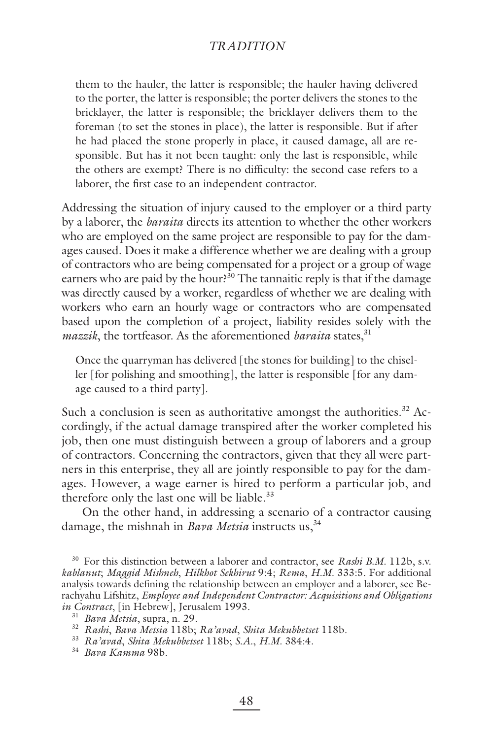them to the hauler, the latter is responsible; the hauler having delivered to the porter, the latter is responsible; the porter delivers the stones to the bricklayer, the latter is responsible; the bricklayer delivers them to the foreman (to set the stones in place), the latter is responsible. But if after he had placed the stone properly in place, it caused damage, all are responsible. But has it not been taught: only the last is responsible, while the others are exempt? There is no difficulty: the second case refers to a laborer, the first case to an independent contractor.

Addressing the situation of injury caused to the employer or a third party by a laborer, the *baraita* directs its attention to whether the other workers who are employed on the same project are responsible to pay for the damages caused. Does it make a difference whether we are dealing with a group of contractors who are being compensated for a project or a group of wage earners who are paid by the hour?<sup>30</sup> The tannaitic reply is that if the damage was directly caused by a worker, regardless of whether we are dealing with workers who earn an hourly wage or contractors who are compensated based upon the completion of a project, liability resides solely with the *mazzik*, the tortfeasor. As the aforementioned *baraita* states,<sup>31</sup>

Once the quarryman has delivered [the stones for building] to the chiseller [for polishing and smoothing], the latter is responsible [for any damage caused to a third party].

Such a conclusion is seen as authoritative amongst the authorities.<sup>32</sup> Accordingly, if the actual damage transpired after the worker completed his job, then one must distinguish between a group of laborers and a group of contractors. Concerning the contractors, given that they all were partners in this enterprise, they all are jointly responsible to pay for the damages. However, a wage earner is hired to perform a particular job, and therefore only the last one will be liable.<sup>33</sup>

On the other hand, in addressing a scenario of a contractor causing damage, the mishnah in *Bava Metsia* instructs us,<sup>34</sup>

30 For this distinction between a laborer and contractor, see *Rashi B.M.* 112b, s.v. *kablanut*; *Maggid Mishneh*, *Hilkhot Sekhirut* 9:4; *Rema*, *H.M.* 333:5. For additional analysis towards defining the relationship between an employer and a laborer, see Berachyahu Lifshitz, *Employee and Independent Contractor: Acquisitions and Obligations in Contract*, [in Hebrew], Jerusalem 1993.

<sup>31</sup> *Bava Metsia*, supra, n. 29.

<sup>32</sup> *Rashi*, *Bava Metsia* 118b; *Ra'avad*, *Shita Mekubbetset* 118b.

<sup>33</sup> *Ra'avad*, *Shita Mekubbetset* 118b; *S.A.*, *H.M.* 384:4.

<sup>34</sup> *Bava Kamma* 98b.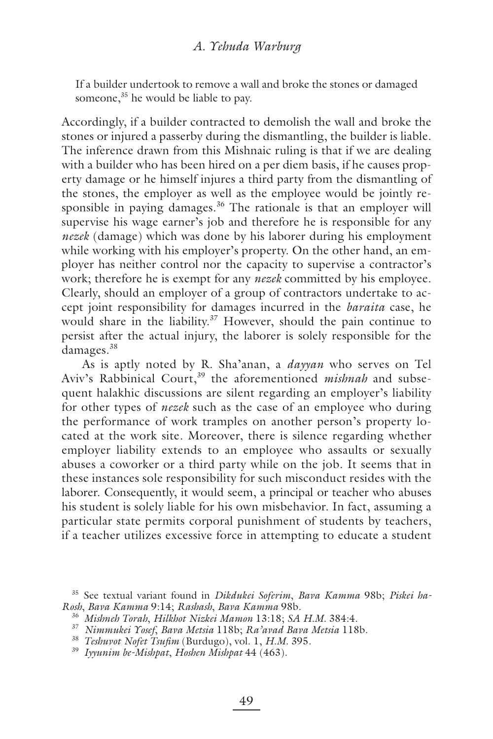If a builder undertook to remove a wall and broke the stones or damaged someone,<sup>35</sup> he would be liable to pay.

Accordingly, if a builder contracted to demolish the wall and broke the stones or injured a passerby during the dismantling, the builder is liable. The inference drawn from this Mishnaic ruling is that if we are dealing with a builder who has been hired on a per diem basis, if he causes property damage or he himself injures a third party from the dismantling of the stones, the employer as well as the employee would be jointly responsible in paying damages.<sup>36</sup> The rationale is that an employer will supervise his wage earner's job and therefore he is responsible for any *nezek* (damage) which was done by his laborer during his employment while working with his employer's property. On the other hand, an employer has neither control nor the capacity to supervise a contractor's work; therefore he is exempt for any *nezek* committed by his employee. Clearly, should an employer of a group of contractors undertake to accept joint responsibility for damages incurred in the *baraita* case, he would share in the liability.<sup>37</sup> However, should the pain continue to persist after the actual injury, the laborer is solely responsible for the damages.<sup>38</sup>

As is aptly noted by R. Sha'anan, a *dayyan* who serves on Tel Aviv's Rabbinical Court,<sup>39</sup> the aforementioned *mishnah* and subsequent halakhic discussions are silent regarding an employer's liability for other types of *nezek* such as the case of an employee who during the performance of work tramples on another person's property located at the work site. Moreover, there is silence regarding whether employer liability extends to an employee who assaults or sexually abuses a coworker or a third party while on the job. It seems that in these instances sole responsibility for such misconduct resides with the laborer. Consequently, it would seem, a principal or teacher who abuses his student is solely liable for his own misbehavior. In fact, assuming a particular state permits corporal punishment of students by teachers, if a teacher utilizes excessive force in attempting to educate a student

<sup>35</sup> See textual variant found in *Dikdukei Soferim*, *Bava Kamma* 98b; *Piskei ha-Rosh*, *Bava Kamma* 9:14; *Rashash*, *Bava Kamma* 98b.

<sup>36</sup> *Mishneh Torah*, *Hilkhot Nizkei Mamon* 13:18; *SA H.M.* 384:4.

<sup>37</sup> *Nimmukei Yosef*, *Bava Metsia* 118b; *Ra'avad Bava Metsia* 118b.

<sup>&</sup>lt;sup>38</sup> Teshuvot Nofet Tsufim (Burdugo), vol. 1, *H.M.* 395.

<sup>39</sup> *Iyyunim be-Mishpat*, *Hoshen Mishpat* 44 (463).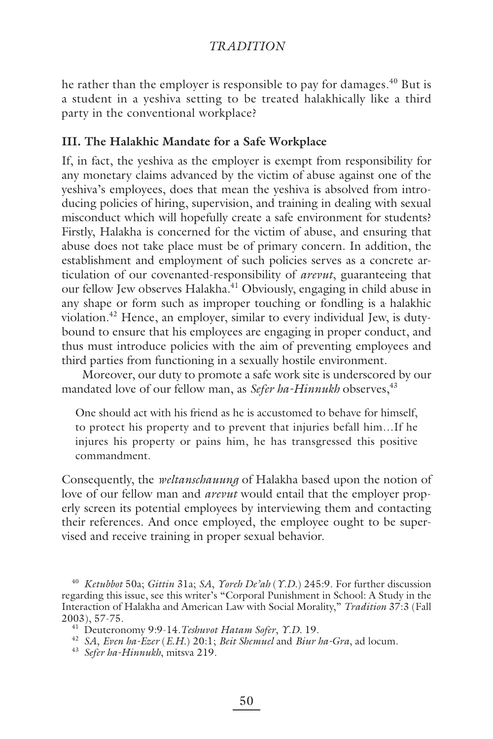he rather than the employer is responsible to pay for damages.<sup>40</sup> But is a student in a yeshiva setting to be treated halakhically like a third party in the conventional workplace?

# **III. The Halakhic Mandate for a Safe Workplace**

If, in fact, the yeshiva as the employer is exempt from responsibility for any monetary claims advanced by the victim of abuse against one of the yeshiva's employees, does that mean the yeshiva is absolved from introducing policies of hiring, supervision, and training in dealing with sexual misconduct which will hopefully create a safe environment for students? Firstly, Halakha is concerned for the victim of abuse, and ensuring that abuse does not take place must be of primary concern. In addition, the establishment and employment of such policies serves as a concrete articulation of our covenanted-responsibility of *arevut*, guaranteeing that our fellow Jew observes Halakha.<sup>41</sup> Obviously, engaging in child abuse in any shape or form such as improper touching or fondling is a halakhic violation.42 Hence, an employer, similar to every individual Jew, is dutybound to ensure that his employees are engaging in proper conduct, and thus must introduce policies with the aim of preventing employees and third parties from functioning in a sexually hostile environment.

Moreover, our duty to promote a safe work site is underscored by our mandated love of our fellow man, as *Sefer ha-Hinnukh* observes,<sup>43</sup>

One should act with his friend as he is accustomed to behave for himself, to protect his property and to prevent that injuries befall him…If he injures his property or pains him, he has transgressed this positive commandment.

Consequently, the *weltanschauung* of Halakha based upon the notion of love of our fellow man and *arevut* would entail that the employer properly screen its potential employees by interviewing them and contacting their references. And once employed, the employee ought to be supervised and receive training in proper sexual behavior.

<sup>43</sup> *Sefer ha-Hinnukh*, mitsva 219.

<sup>40</sup> *Ketubbot* 50a; *Gittin* 31a; *SA*, *Yoreh De'ah* (*Y.D.*) 245:9. For further discussion regarding this issue, see this writer's "Corporal Punishment in School: A Study in the Interaction of Halakha and American Law with Social Morality," *Tradition* 37:3 (Fall 2003), 57-75. 41 Deuteronomy 9:9-14.*Teshuvot Hatam Sofer*, *Y.D.* 19.

<sup>42</sup> *SA*, *Even ha-Ezer* (*E.H.*) 20:1; *Beit Shemuel* and *Biur ha-Gra*, ad locum.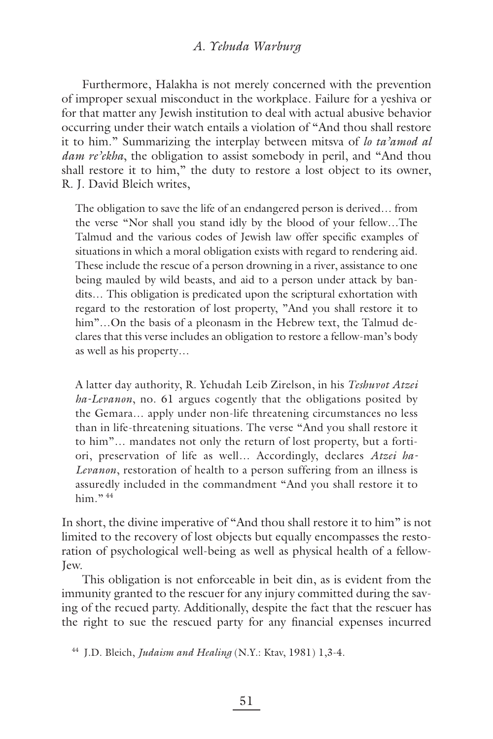### *A. Yehuda Warburg*

Furthermore, Halakha is not merely concerned with the prevention of improper sexual misconduct in the workplace. Failure for a yeshiva or for that matter any Jewish institution to deal with actual abusive behavior occurring under their watch entails a violation of "And thou shall restore it to him." Summarizing the interplay between mitsva of *lo ta'amod al dam re'ekha*, the obligation to assist somebody in peril, and "And thou shall restore it to him," the duty to restore a lost object to its owner, R. J. David Bleich writes,

The obligation to save the life of an endangered person is derived… from the verse "Nor shall you stand idly by the blood of your fellow…The Talmud and the various codes of Jewish law offer specific examples of situations in which a moral obligation exists with regard to rendering aid. These include the rescue of a person drowning in a river, assistance to one being mauled by wild beasts, and aid to a person under attack by bandits… This obligation is predicated upon the scriptural exhortation with regard to the restoration of lost property, "And you shall restore it to him"...On the basis of a pleonasm in the Hebrew text, the Talmud declares that this verse includes an obligation to restore a fellow-man's body as well as his property…

A latter day authority, R. Yehudah Leib Zirelson, in his *Teshuvot Atzei ha-Levanon*, no. 61 argues cogently that the obligations posited by the Gemara… apply under non-life threatening circumstances no less than in life-threatening situations. The verse "And you shall restore it to him"… mandates not only the return of lost property, but a fortiori, preservation of life as well… Accordingly, declares *Atzei ha-Levanon*, restoration of health to a person suffering from an illness is assuredly included in the commandment "And you shall restore it to him $.$ <sup>44</sup>

In short, the divine imperative of "And thou shall restore it to him" is not limited to the recovery of lost objects but equally encompasses the restoration of psychological well-being as well as physical health of a fellow-Jew.

This obligation is not enforceable in beit din, as is evident from the immunity granted to the rescuer for any injury committed during the saving of the recued party. Additionally, despite the fact that the rescuer has the right to sue the rescued party for any financial expenses incurred

44 J.D. Bleich, *Judaism and Healing* (N.Y.: Ktav, 1981) 1,3-4.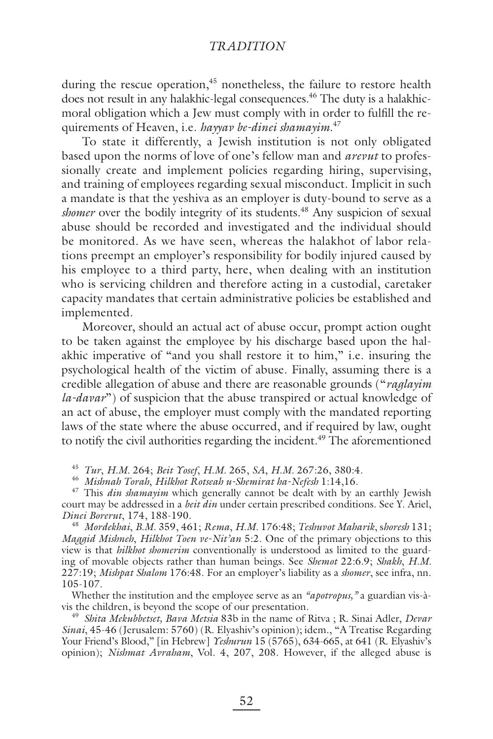during the rescue operation,<sup>45</sup> nonetheless, the failure to restore health does not result in any halakhic-legal consequences.<sup>46</sup> The duty is a halakhicmoral obligation which a Jew must comply with in order to fulfill the requirements of Heaven, i.e. *hayyav be-dinei shamayim*. 47

To state it differently, a Jewish institution is not only obligated based upon the norms of love of one's fellow man and *arevut* to professionally create and implement policies regarding hiring, supervising, and training of employees regarding sexual misconduct. Implicit in such a mandate is that the yeshiva as an employer is duty-bound to serve as a *shomer* over the bodily integrity of its students.<sup>48</sup> Any suspicion of sexual abuse should be recorded and investigated and the individual should be monitored. As we have seen, whereas the halakhot of labor relations preempt an employer's responsibility for bodily injured caused by his employee to a third party, here, when dealing with an institution who is servicing children and therefore acting in a custodial, caretaker capacity mandates that certain administrative policies be established and implemented.

Moreover, should an actual act of abuse occur, prompt action ought to be taken against the employee by his discharge based upon the halakhic imperative of "and you shall restore it to him," i.e. insuring the psychological health of the victim of abuse. Finally, assuming there is a credible allegation of abuse and there are reasonable grounds ("*raglayim la-davar*") of suspicion that the abuse transpired or actual knowledge of an act of abuse, the employer must comply with the mandated reporting laws of the state where the abuse occurred, and if required by law, ought to notify the civil authorities regarding the incident.<sup>49</sup> The aforementioned

<sup>45</sup> *Tur*, *H.M.* 264; *Beit Yosef*, *H.M.* 265, *SA*, *H.M.* 267:26, 380:4.

<sup>46</sup> *Mishnah Torah*, *Hilkhot Rotseah u-Shemirat ha-Nefesh* 1:14,16.

<sup>47</sup> This *din shamayim* which generally cannot be dealt with by an earthly Jewish court may be addressed in a *beit din* under certain prescribed conditions. See Y. Ariel, *Dinei Borerut*, 174, 188-190.

<sup>48</sup> *Mordekhai*, *B.M.* 359, 461; *Rema*, *H.M.* 176:48; *Teshuvot Maharik*, s*horesh* 131; *Maggid Mishneh*, *Hilkhot Toen ve-Nit'an* 5:2. One of the primary objections to this view is that *hilkhot shomerim* conventionally is understood as limited to the guarding of movable objects rather than human beings. See *Shemot* 22:6.9; *Shakh*, *H.M.* 227:19; *Mishpat Shalom* 176:48. For an employer's liability as a *shomer*, see infra, nn. 105-107.

Whether the institution and the employee serve as an *"apotropus*," a guardian vis-à-<br>vis the children, is beyond the scope of our presentation.

<sup>49</sup> *Shita Mekubbetset, Bava Metsia* 83b in the name of Ritva; R. Sinai Adler, *Devar Sinai*, 45-46 (Jerusalem: 5760) (R. Elyashiv's opinion); idem., "A Treatise Regarding Your Friend's Blood," [in Hebrew] *Yeshurun* 15 (5765), 634-665, at 641 (R. Elyashiv's opinion); *Nishmat Avraham*, Vol. 4, 207, 208. However, if the alleged abuse is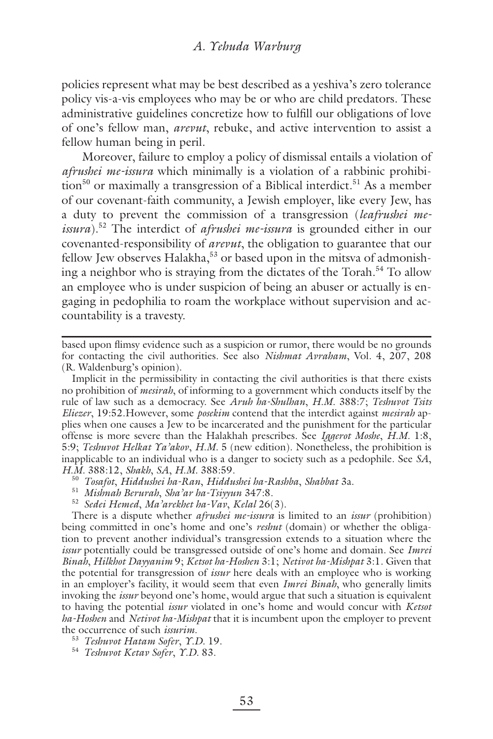policies represent what may be best described as a yeshiva's zero tolerance policy vis-a-vis employees who may be or who are child predators. These administrative guidelines concretize how to fulfill our obligations of love of one's fellow man, *arevut*, rebuke, and active intervention to assist a fellow human being in peril.

Moreover, failure to employ a policy of dismissal entails a violation of *afrushei me-issura* which minimally is a violation of a rabbinic prohibition<sup>50</sup> or maximally a transgression of a Biblical interdict.<sup>51</sup> As a member of our covenant-faith community, a Jewish employer, like every Jew, has a duty to prevent the commission of a transgression (*leafrushei meissura*).52 The interdict of *afrushei me-issura* is grounded either in our covenanted-responsibility of *arevut*, the obligation to guarantee that our fellow Jew observes Halakha,<sup>53</sup> or based upon in the mitsva of admonishing a neighbor who is straying from the dictates of the Torah.<sup>54</sup> To allow an employee who is under suspicion of being an abuser or actually is engaging in pedophilia to roam the workplace without supervision and accountability is a travesty.

Implicit in the permissibility in contacting the civil authorities is that there exists no prohibition of *mesirah*, of informing to a government which conducts itself by the rule of law such as a democracy. See *Aruh ha-Shulhan*, *H.M.* 388:7; *Teshuvot Tsits Eliezer*, 19:52.However, some *posekim* contend that the interdict against *mesirah* applies when one causes a Jew to be incarcerated and the punishment for the particular offense is more severe than the Halakhah prescribes. See *Iggerot Moshe*, *H.M.* 1:8, 5:9; *Teshuvot Helkat Ya'akov*, *H.M.* 5 (new edition). Nonetheless, the prohibition is inapplicable to an individual who is a danger to society such as a pedophile. See *SA*,

- *H.M.* 388:12, *Shakh*, *SA*, *H.M.* 388:59. 50 *Tosafot*, *Hiddushei ha-Ran*, *Hiddushei ha-Rashba*, *Shabbat* 3a.
	- <sup>51</sup> *Mishnah Berurah*, *Sha'ar ha-Tsiyyun* 347:8.
	- <sup>52</sup> *Sedei Hemed*, *Ma'arekhet ha-Vav*, *Kelal* 26(3).

There is a dispute whether *afrushei me-issura* is limited to an *issur* (prohibition) being committed in one's home and one's *reshut* (domain) or whether the obligation to prevent another individual's transgression extends to a situation where the *issur* potentially could be transgressed outside of one's home and domain. See *Imrei Binah*, *Hilkhot Dayyanim* 9; *Ketsot ha-Hoshen* 3:1; *Netivot ha-Mishpat* 3:1. Given that the potential for transgression of *issur* here deals with an employee who is working in an employer's facility, it would seem that even *Imrei Binah*, who generally limits invoking the *issur* beyond one's home, would argue that such a situation is equivalent to having the potential *issur* violated in one's home and would concur with *Ketsot ha-Hoshen* and *Netivot ha-Mishpat* that it is incumbent upon the employer to prevent the occurrence of such *issurim*.

- <sup>53</sup> *Teshuvot Hatam Sofer*, *Y.D.* 19.
- <sup>54</sup> *Teshuvot Ketav Sofer*, *Y.D.* 83.

based upon flimsy evidence such as a suspicion or rumor, there would be no grounds for contacting the civil authorities. See also *Nishmat Avraham*, Vol. 4, 207, 208 (R. Waldenburg's opinion).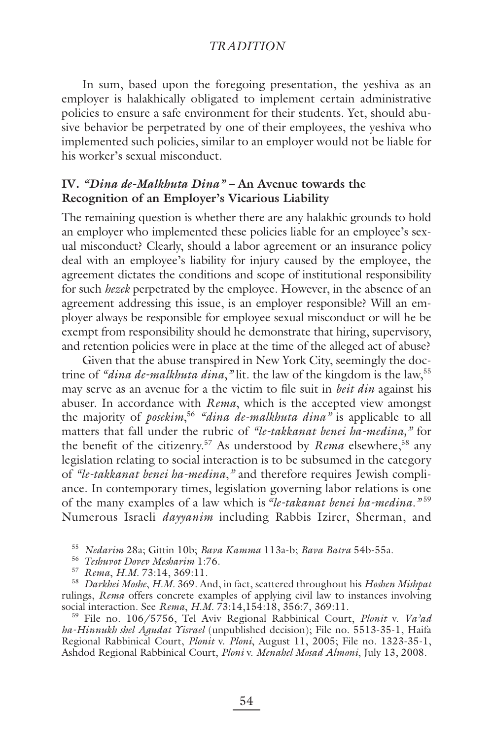In sum, based upon the foregoing presentation, the yeshiva as an employer is halakhically obligated to implement certain administrative policies to ensure a safe environment for their students. Yet, should abusive behavior be perpetrated by one of their employees, the yeshiva who implemented such policies, similar to an employer would not be liable for his worker's sexual misconduct.

# **IV.** *"Dina de-Malkhuta Dina" –* **An Avenue towards the Recognition of an Employer's Vicarious Liability**

The remaining question is whether there are any halakhic grounds to hold an employer who implemented these policies liable for an employee's sexual misconduct? Clearly, should a labor agreement or an insurance policy deal with an employee's liability for injury caused by the employee, the agreement dictates the conditions and scope of institutional responsibility for such *hezek* perpetrated by the employee. However, in the absence of an agreement addressing this issue, is an employer responsible? Will an employer always be responsible for employee sexual misconduct or will he be exempt from responsibility should he demonstrate that hiring, supervisory, and retention policies were in place at the time of the alleged act of abuse?

Given that the abuse transpired in New York City, seemingly the doctrine of *"dina de-malkhuta dina*,*"* lit. the law of the kingdom is the law,55 may serve as an avenue for a the victim to file suit in *beit din* against his abuser. In accordance with *Rema*, which is the accepted view amongst the majority of *posekim*, <sup>56</sup> *"dina de-malkhuta dina"* is applicable to all matters that fall under the rubric of *"le-takkanat benei ha-medina,"* for the benefit of the citizenry.<sup>57</sup> As understood by *Rema* elsewhere,<sup>58</sup> any legislation relating to social interaction is to be subsumed in the category of *"le-takkanat benei ha-medina*,*"* and therefore requires Jewish compliance. In contemporary times, legislation governing labor relations is one of the many examples of a law which is *"le-takanat benei ha-medina."* <sup>59</sup> Numerous Israeli *dayyanim* including Rabbis Izirer, Sherman, and

<sup>55</sup> *Nedarim* 28a; Gittin 10b; *Bava Kamma* 113a-b; *Bava Batra* 54b-55a.

<sup>56</sup> *Teshuvot Dovev Mesharim* 1:76.

<sup>57</sup> *Rema*, *H.M.* 73:14, 369:11.

<sup>58</sup> *Darkhei Moshe*, *H.M.* 369. And, in fact, scattered throughout his *Hoshen Mishpat* rulings, *Rema* offers concrete examples of applying civil law to instances involving social interaction. See *Rema*, *H.M.* 73:14,154:18, 356:7, 369:11.

59 File no. 106/5756, Tel Aviv Regional Rabbinical Court, *Plonit* v. *Va'ad ha-Hinnukh shel Agudat Yisrael* (unpublished decision); File no. 5513-35-1, Haifa Regional Rabbinical Court, *Plonit* v. *Ploni*, August 11, 2005; File no. 1323-35-1, Ashdod Regional Rabbinical Court, *Ploni* v. *Menahel Mosad Almoni*, July 13, 2008.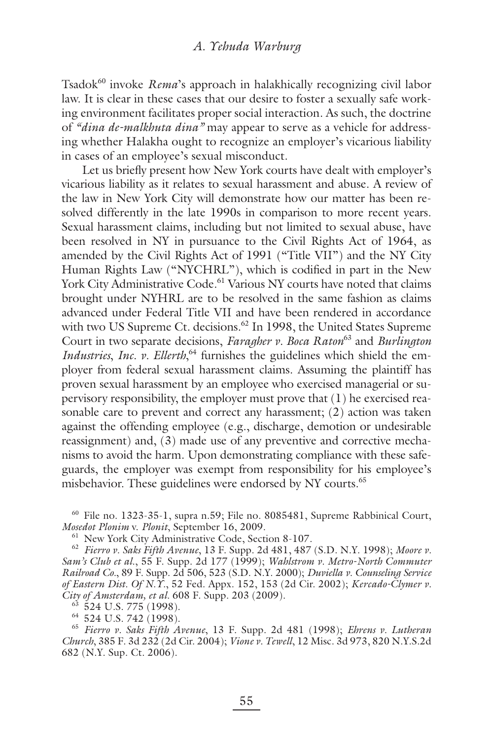Tsadok<sup>60</sup> invoke *Rema*'s approach in halakhically recognizing civil labor law. It is clear in these cases that our desire to foster a sexually safe working environment facilitates proper social interaction. As such, the doctrine of *"dina de-malkhuta dina"* may appear to serve as a vehicle for addressing whether Halakha ought to recognize an employer's vicarious liability in cases of an employee's sexual misconduct.

Let us briefly present how New York courts have dealt with employer's vicarious liability as it relates to sexual harassment and abuse. A review of the law in New York City will demonstrate how our matter has been resolved differently in the late 1990s in comparison to more recent years. Sexual harassment claims, including but not limited to sexual abuse, have been resolved in NY in pursuance to the Civil Rights Act of 1964, as amended by the Civil Rights Act of 1991 ("Title VII") and the NY City Human Rights Law ("NYCHRL"), which is codified in part in the New York City Administrative Code.<sup>61</sup> Various NY courts have noted that claims brought under NYHRL are to be resolved in the same fashion as claims advanced under Federal Title VII and have been rendered in accordance with two US Supreme Ct. decisions.<sup>62</sup> In 1998, the United States Supreme Court in two separate decisions, *Faragher v. Boca Raton*63 and *Burlington Industries*, *Inc. v. Ellerth*, 64 furnishes the guidelines which shield the employer from federal sexual harassment claims. Assuming the plaintiff has proven sexual harassment by an employee who exercised managerial or supervisory responsibility, the employer must prove that (1) he exercised reasonable care to prevent and correct any harassment; (2) action was taken against the offending employee (e.g., discharge, demotion or undesirable reassignment) and, (3) made use of any preventive and corrective mechanisms to avoid the harm. Upon demonstrating compliance with these safeguards, the employer was exempt from responsibility for his employee's misbehavior. These guidelines were endorsed by NY courts.<sup>65</sup>

60 File no. 1323-35-1, supra n.59; File no. 8085481, Supreme Rabbinical Court, *Mosedot Plonim* v. *Plonit*, September 16, 2009.

61 New York City Administrative Code, Section 8-107.

<sup>62</sup> *Fierro v. Saks Fifth Avenue*, 13 F. Supp. 2d 481, 487 (S.D. N.Y. 1998); *Moore v. Sam's Club et al*., 55 F. Supp. 2d 177 (1999); *Wahlstrom v. Metro-North Commuter Railroad Co.*, 89 F. Supp. 2d 506, 523 (S.D. N.Y. 2000); *Duviella v. Counseling Service of Eastern Dist. Of N.Y.*, 52 Fed. Appx. 152, 153 (2d Cir. 2002); *Kercado-Clymer v. City of Amsterdam, et al.* 608 F. Supp. 203 (2009).

 $63$  524 U.S. 775 (1998).

64 524 U.S. 742 (1998).

<sup>65</sup> *Fierro v. Saks Fifth Avenue*, 13 F. Supp. 2d 481 (1998); *Ehrens v. Lutheran Church*, 385 F. 3d 232 (2d Cir. 2004); *Vione v. Tewell*, 12 Misc. 3d 973, 820 N.Y.S.2d 682 (N.Y. Sup. Ct. 2006).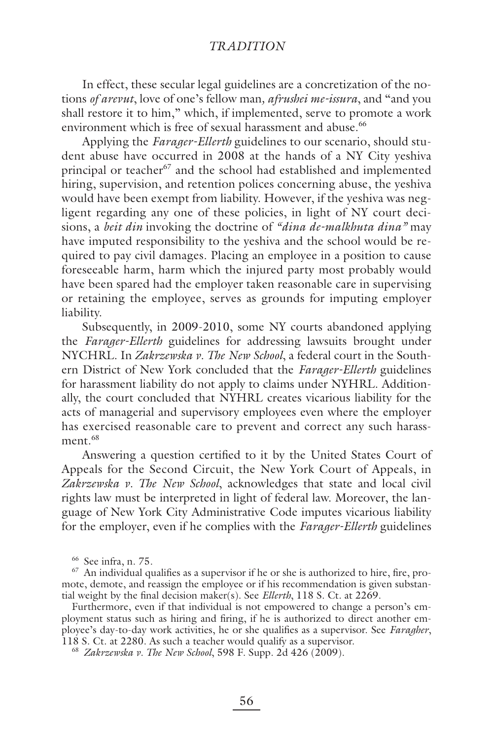In effect, these secular legal guidelines are a concretization of the notions *of arevut*, love of one's fellow man*, afrushei me-issura*, and "and you shall restore it to him," which, if implemented, serve to promote a work environment which is free of sexual harassment and abuse.<sup>66</sup>

Applying the *Farager-Ellerth* guidelines to our scenario, should student abuse have occurred in 2008 at the hands of a NY City yeshiva principal or teacher<sup>67</sup> and the school had established and implemented hiring, supervision, and retention polices concerning abuse, the yeshiva would have been exempt from liability. However, if the yeshiva was negligent regarding any one of these policies, in light of NY court decisions, a *beit din* invoking the doctrine of *"dina de-malkhuta dina"* may have imputed responsibility to the yeshiva and the school would be required to pay civil damages. Placing an employee in a position to cause foreseeable harm, harm which the injured party most probably would have been spared had the employer taken reasonable care in supervising or retaining the employee, serves as grounds for imputing employer liability.

Subsequently, in 2009-2010, some NY courts abandoned applying the *Farager-Ellerth* guidelines for addressing lawsuits brought under NYCHRL. In *Zakrzewska v. The New School*, a federal court in the Southern District of New York concluded that the *Farager-Ellerth* guidelines for harassment liability do not apply to claims under NYHRL. Additionally, the court concluded that NYHRL creates vicarious liability for the acts of managerial and supervisory employees even where the employer has exercised reasonable care to prevent and correct any such harassment.<sup>68</sup>

Answering a question certified to it by the United States Court of Appeals for the Second Circuit, the New York Court of Appeals, in *Zakrzewska v. The New School*, acknowledges that state and local civil rights law must be interpreted in light of federal law. Moreover, the language of New York City Administrative Code imputes vicarious liability for the employer, even if he complies with the *Farager-Ellerth* guidelines

66 See infra, n. 75.

 $67$  An individual qualifies as a supervisor if he or she is authorized to hire, fire, promote, demote, and reassign the employee or if his recommendation is given substantial weight by the final decision maker(s). See *Ellerth*, 118 S. Ct. at 2269.

Furthermore, even if that individual is not empowered to change a person's employment status such as hiring and firing, if he is authorized to direct another employee's day-to-day work activities, he or she qualifies as a supervisor. See *Faragher*, 118 S. Ct. at 2280. As such a teacher would qualify as a supervisor.

<sup>68</sup> *Zakrzewska v. The New School*, 598 F. Supp. 2d 426 (2009).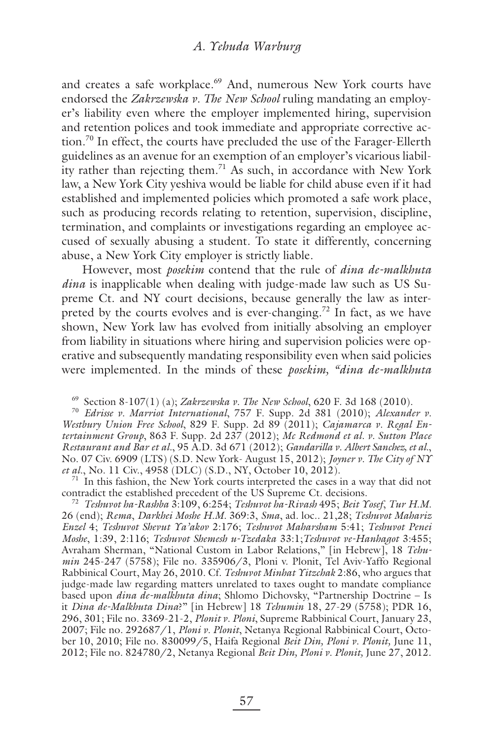and creates a safe workplace.<sup>69</sup> And, numerous New York courts have endorsed the *Zakrzewska v. The New School* ruling mandating an employer's liability even where the employer implemented hiring, supervision and retention polices and took immediate and appropriate corrective action.70 In effect, the courts have precluded the use of the Farager-Ellerth guidelines as an avenue for an exemption of an employer's vicarious liability rather than rejecting them.<sup>71</sup> As such, in accordance with New York law, a New York City yeshiva would be liable for child abuse even if it had established and implemented policies which promoted a safe work place, such as producing records relating to retention, supervision, discipline, termination, and complaints or investigations regarding an employee accused of sexually abusing a student. To state it differently, concerning abuse, a New York City employer is strictly liable.

However, most *posekim* contend that the rule of *dina de-malkhuta dina* is inapplicable when dealing with judge-made law such as US Supreme Ct. and NY court decisions, because generally the law as interpreted by the courts evolves and is ever-changing.<sup>72</sup> In fact, as we have shown, New York law has evolved from initially absolving an employer from liability in situations where hiring and supervision policies were operative and subsequently mandating responsibility even when said policies were implemented. In the minds of these *posekim, "dina de-malkhuta* 

<sup>70</sup> *Edrisse v. Marriot International*, 757 F. Supp. 2d 381 (2010); *Alexander v. Westbury Union Free School*, 829 F. Supp. 2d 89 (2011); *Cajamarca v. Regal Entertainment Group*, 863 F. Supp. 2d 237 (2012); *Mc Redmond et al. v. Sutton Place Restaurant and Bar et al.*, 95 A.D. 3d 671 (2012); *Gandarilla v. Albert Sanchez, et al.*, No. 07 Civ. 6909 (LTS) (S.D. New York- August 15, 2012); *Joyner v. The City of NY et al.*, No. 11 Civ., 4958 (DLC) (S.D., NY, October 10, 2012).

 $71$  In this fashion, the New York courts interpreted the cases in a way that did not contradict the established precedent of the US Supreme Ct. decisions.

<sup>72</sup> *Teshuvot ha-Rashba* 3:109, 6:254; *Teshuvot ha-Rivash* 495; *Beit Yosef*, *Tur H.M.* 26 (end); *Rema*, *Darkhei Moshe H.M.* 369:3, *Sma*, ad. loc.. 21,28; *Teshuvot Mahariz Enzel* 4; *Teshuvot Shevut Ya'akov* 2:176; *Teshuvot Maharsham* 5:41; *Teshuvot Penei Moshe*, 1:39, 2:116; *Teshuvot Shemesh u-Tzedaka* 33:1;*Teshuvot ve-Hanhagot* 3:455; Avraham Sherman, "National Custom in Labor Relations," [in Hebrew], 18 *Tehumin* 245-247 (5758); File no. 335906/3, Ploni v. Plonit, Tel Aviv-Yaffo Regional Rabbinical Court, May 26, 2010. Cf. *Teshuvot Minhat Yitzchak* 2:86, who argues that judge-made law regarding matters unrelated to taxes ought to mandate compliance based upon *dina de-malkhuta dina*; Shlomo Dichovsky, "Partnership Doctrine – Is it *Dina de-Malkhuta Dina*?" [in Hebrew] 18 *Tehumin* 18, 27-29 (5758); PDR 16, 296, 301; File no. 3369-21-2, *Plonit v. Ploni*, Supreme Rabbinical Court, January 23, 2007; File no. 292687/1, *Ploni v. Plonit*, Netanya Regional Rabbinical Court, October 10, 2010; File no. 830099/5, Haifa Regional *Beit Din, Ploni v. Plonit,* June 11, 2012; File no. 824780/2, Netanya Regional *Beit Din, Ploni v. Plonit,* June 27, 2012.

<sup>69</sup> Section 8-107(1) (a); *Zakrzewska v. The New School*, 620 F. 3d 168 (2010).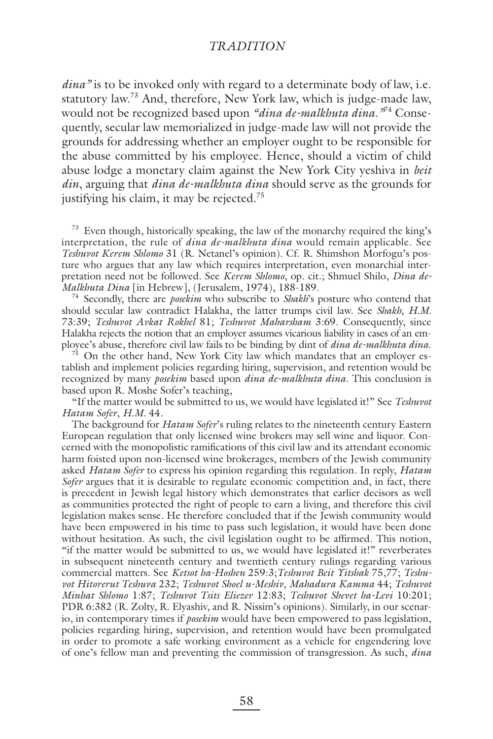*dina"* is to be invoked only with regard to a determinate body of law, i.e. statutory law.73 And, therefore, New York law, which is judge-made law, would not be recognized based upon *"dina de-malkhuta dina*.*"*74 Consequently, secular law memorialized in judge-made law will not provide the grounds for addressing whether an employer ought to be responsible for the abuse committed by his employee. Hence, should a victim of child abuse lodge a monetary claim against the New York City yeshiva in *beit din*, arguing that *dina de-malkhuta dina* should serve as the grounds for justifying his claim, it may be rejected.<sup>75</sup>

<sup>73</sup> Even though, historically speaking, the law of the monarchy required the king's interpretation, the rule of *dina de-malkhuta dina* would remain applicable. See *Teshuvot Kerem Shlomo* 31 (R. Netanel's opinion). Cf. R. Shimshon Morfogu's posture who argues that any law which requires interpretation, even monarchial interpretation need not be followed. See *Kerem Shlomo*, op. cit.; Shmuel Shilo, *Dina de-*

<sup>74</sup> Secondly, there are *posekim* who subscribe to *Shakh*'s posture who contend that should secular law contradict Halakha, the latter trumps civil law. See *Shakh*, *H.M.* 73:39; *Teshuvot Avkat Rokhel* 81; *Teshuvot Maharsham* 3:69. Consequently, since Halakha rejects the notion that an employer assumes vicarious liability in cases of an employee's abuse, therefore civil law fails to be binding by dint of *dina de-malkhuta dina*.

<sup>75</sup> On the other hand, New York City law which mandates that an employer establish and implement policies regarding hiring, supervision, and retention would be recognized by many *posekim* based upon *dina de-malkhuta dina*. This conclusion is based upon R. Moshe Sofer's teaching,

"If the matter would be submitted to us, we would have legislated it!" See *Teshuvot Hatam Sofer*, *H.M.* 44.

The background for *Hatam Sofer*'s ruling relates to the nineteenth century Eastern European regulation that only licensed wine brokers may sell wine and liquor. Concerned with the monopolistic ramifications of this civil law and its attendant economic harm foisted upon non-licensed wine brokerages, members of the Jewish community asked *Hatam Sofer* to express his opinion regarding this regulation. In reply, *Hatam Sofer* argues that it is desirable to regulate economic competition and, in fact, there is precedent in Jewish legal history which demonstrates that earlier decisors as well as communities protected the right of people to earn a living, and therefore this civil legislation makes sense. He therefore concluded that if the Jewish community would have been empowered in his time to pass such legislation, it would have been done without hesitation. As such, the civil legislation ought to be affirmed. This notion, "if the matter would be submitted to us, we would have legislated it!" reverberates in subsequent nineteenth century and twentieth century rulings regarding various commercial matters. See *Ketsot ha-Hoshen* 259:3;*Teshuvot Beit Yitshak* 75,77; *Teshuvot Hitorerut Teshuva* 232; *Teshuvot Shoel u-Meshiv*, *Mahadura Kamma* 44; *Teshuvot Minhat Shlomo* 1:87; *Teshuvot Tsits Eliezer* 12:83; *Teshuvot Shevet ha-Levi* 10:201; PDR 6:382 (R. Zolty, R. Elyashiv, and R. Nissim's opinions). Similarly, in our scenario, in contemporary times if *posekim* would have been empowered to pass legislation, policies regarding hiring, supervision, and retention would have been promulgated in order to promote a safe working environment as a vehicle for engendering love of one's fellow man and preventing the commission of transgression. As such, *dina*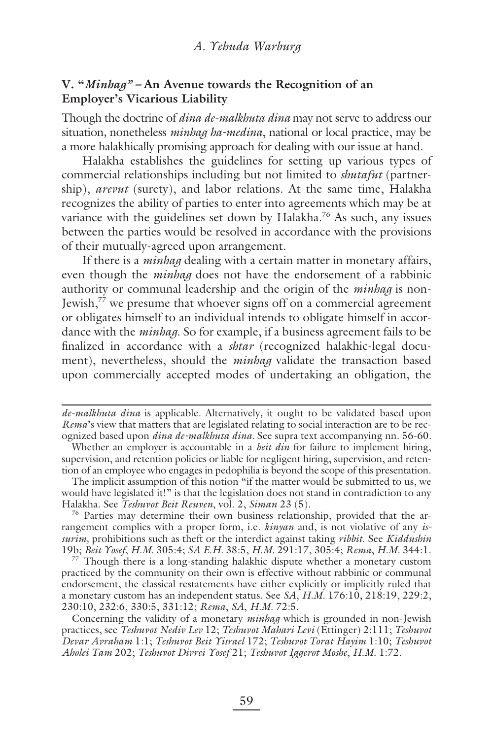# **V. "***Minhag" –* **An Avenue towards the Recognition of an Employer's Vicarious Liability**

Though the doctrine of *dina de-malkhuta dina* may not serve to address our situation*,* nonetheless *minhag ha-medina*, national or local practice, may be a more halakhically promising approach for dealing with our issue at hand.

Halakha establishes the guidelines for setting up various types of commercial relationships including but not limited to *shutafut* (partnership), *arevut* (surety), and labor relations. At the same time, Halakha recognizes the ability of parties to enter into agreements which may be at variance with the guidelines set down by Halakha.<sup>76</sup> As such, any issues between the parties would be resolved in accordance with the provisions of their mutually-agreed upon arrangement.

If there is a *minhag* dealing with a certain matter in monetary affairs, even though the *minhag* does not have the endorsement of a rabbinic authority or communal leadership and the origin of the *minhag* is non-Jewish, $7^7$  we presume that whoever signs off on a commercial agreement or obligates himself to an individual intends to obligate himself in accordance with the *minhag*. So for example, if a business agreement fails to be finalized in accordance with a *shtar* (recognized halakhic-legal document), nevertheless, should the *minhag* validate the transaction based upon commercially accepted modes of undertaking an obligation, the

The implicit assumption of this notion "if the matter would be submitted to us, we would have legislated it!" is that the legislation does not stand in contradiction to any Halakha. See *Teshuvot Beit Reuven*, vol. 2, *Siman* 23 (5).

 $76$  Parties may determine their own business relationship, provided that the arrangement complies with a proper form, i.e. *kinyan* and, is not violative of any *issurim,* prohibitions such as theft or the interdict against taking *ribbit*. See *Kiddushin* 19b; *Beit Yosef*, *H.M.* 305:4; *SA E.H.* 38:5, *H.M.* 291:17, 305:4; *Rema*, *H.M.* 344:1.

 $77$  Though there is a long-standing halakhic dispute whether a monetary custom practiced by the community on their own is effective without rabbinic or communal endorsement, the classical restatements have either explicitly or implicitly ruled that a monetary custom has an independent status. See *SA*, *H.M.* 176:10, 218:19, 229:2, 230:10, 232:6, 330:5, 331:12; *Rema*, *SA*, *H.M.* 72:5.

Concerning the validity of a monetary *minhag* which is grounded in non-Jewish practices, see *Teshuvot Nediv Lev* 12; *Teshuvot Mahari Levi* (Ettinger) 2:111; *Teshuvot Devar Avraham* 1:1; *Teshuvot Beit Yisrael* 172; *Teshuvot Torat Hayim* 1:10; *Teshuvot Aholei Tam* 202; *Teshuvot Divrei Yosef* 21; *Teshuvot Iggerot Moshe*, *H.M.* 1:72.

*de-malkhuta dina* is applicable*.* Alternatively*,* it ought to be validated based upon *Rema*'s view that matters that are legislated relating to social interaction are to be recognized based upon *dina de-malkhuta dina.* See supra text accompanying nn. 56-60*.*

Whether an employer is accountable in a *beit din* for failure to implement hiring, supervision, and retention policies or liable for negligent hiring, supervision, and retention of an employee who engages in pedophilia is beyond the scope of this presentation.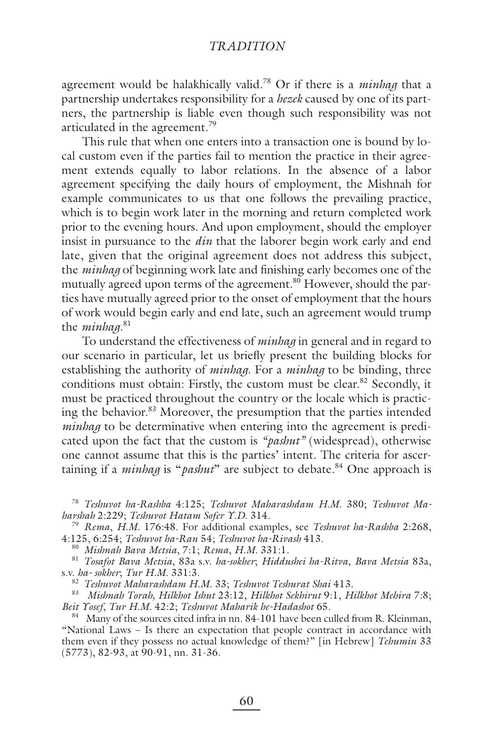agreement would be halakhically valid.78 Or if there is a *minhag* that a partnership undertakes responsibility for a *hezek* caused by one of its partners, the partnership is liable even though such responsibility was not articulated in the agreement.<sup>79</sup>

This rule that when one enters into a transaction one is bound by local custom even if the parties fail to mention the practice in their agreement extends equally to labor relations. In the absence of a labor agreement specifying the daily hours of employment, the Mishnah for example communicates to us that one follows the prevailing practice, which is to begin work later in the morning and return completed work prior to the evening hours. And upon employment, should the employer insist in pursuance to the *din* that the laborer begin work early and end late, given that the original agreement does not address this subject, the *minhag* of beginning work late and finishing early becomes one of the mutually agreed upon terms of the agreement.<sup>80</sup> However, should the parties have mutually agreed prior to the onset of employment that the hours of work would begin early and end late, such an agreement would trump the *minhag*. 81

To understand the effectiveness of *minhag* in general and in regard to our scenario in particular, let us briefly present the building blocks for establishing the authority of *minhag*. For a *minhag* to be binding, three conditions must obtain: Firstly, the custom must be clear.<sup>82</sup> Secondly, it must be practiced throughout the country or the locale which is practicing the behavior.83 Moreover, the presumption that the parties intended *minhag* to be determinative when entering into the agreement is predicated upon the fact that the custom is *"pashut"* (widespread), otherwise one cannot assume that this is the parties' intent. The criteria for ascertaining if a *minhag* is "*pashut*" are subject to debate.<sup>84</sup> One approach is

<sup>78</sup> *Teshuvot ha-Rashba* 4:125; *Teshuvot Maharashdam H.M.* 380; *Teshuvot Maharshah* 2:229; *Teshuvot Hatam Sofer Y.D.* 314.

<sup>79</sup> *Rema*, *H.M.* 176:48. For additional examples, see *Teshuvot ha-Rashba* 2:268, 4:125, 6:254; *Teshuvot ha-Ran* 54; *Teshuvot ha-Rivash* 413.

<sup>80</sup> *Mishnah Bava Metsia*, 7:1; *Rema*, *H.M.* 331:1.

<sup>81</sup> *Tosafot Bava Metsia*, 83a s.v. *ha-sokher*; *Hiddushei ha-Ritva*, *Bava Metsia* 83a, s.v. *ha- sokher*; *Tur H.M.* 331:3.

<sup>82</sup> *Teshuvot Maharashdam H.M.* 33; *Teshuvot Teshurat Shai* 413.

83 *Mishnah Torah, Hilkhot Ishut* 23:12, *Hilkhot Sekhirut* 9:1, *Hilkhot Mehira* 7:8; *Beit Yosef*, *Tur H.M.* 42:2; *Teshuvot Maharik he-Hadashot* 65.

<sup>84</sup> Many of the sources cited infra in nn. 84-101 have been culled from R. Kleinman, "National Laws – Is there an expectation that people contract in accordance with them even if they possess no actual knowledge of them?" [in Hebrew] *Tehumin* 33 (5773), 82-93, at 90-91, nn. 31-36.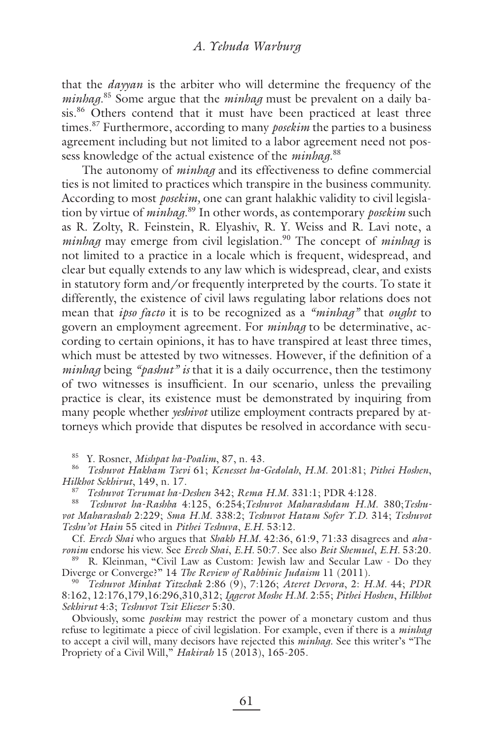that the *dayyan* is the arbiter who will determine the frequency of the *minhag*. 85 Some argue that the *minhag* must be prevalent on a daily basis.<sup>86</sup> Others contend that it must have been practiced at least three times.87 Furthermore, according to many *posekim* the parties to a business agreement including but not limited to a labor agreement need not possess knowledge of the actual existence of the *minhag*. 88

The autonomy of *minhag* and its effectiveness to define commercial ties is not limited to practices which transpire in the business community. According to most *posekim,* one can grant halakhic validity to civil legislation by virtue of *minhag*. 89 In other words, as contemporary *posekim* such as R. Zolty, R. Feinstein, R. Elyashiv, R. Y. Weiss and R. Lavi note, a *minhag* may emerge from civil legislation.<sup>90</sup> The concept of *minhag* is not limited to a practice in a locale which is frequent, widespread, and clear but equally extends to any law which is widespread, clear, and exists in statutory form and/or frequently interpreted by the courts. To state it differently, the existence of civil laws regulating labor relations does not mean that *ipso facto* it is to be recognized as a *"minhag"* that *ought* to govern an employment agreement. For *minhag* to be determinative, according to certain opinions, it has to have transpired at least three times, which must be attested by two witnesses. However, if the definition of a *minhag* being *"pashut" is* that it is a daily occurrence, then the testimony of two witnesses is insufficient. In our scenario, unless the prevailing practice is clear, its existence must be demonstrated by inquiring from many people whether *yeshivot* utilize employment contracts prepared by attorneys which provide that disputes be resolved in accordance with secu-

85 Y. Rosner, *Mishpat ha-Poalim*, 87, n. 43. 86 *Teshuvot Hakham Tsevi* 61; *Kenesset ha-Gedolah*, *H.M.* 201:81; *Pithei Hoshen*, *Hilkhot Sekhirut*, 149, n. 17.

87 *Teshuvot Terumat ha-Deshen* 342; *Rema H.M.* 331:1; PDR 4:128.

88 *Teshuvot ha-Rashba* 4:125, 6:254;*Teshuvot Maharashdam H.M.* 380;*Teshuvot Maharashah* 2:229; *Sma H.M.* 338:2; *Teshuvot Hatam Sofer Y.D.* 314; *Teshuvot Teshu'ot Hain* 55 cited in *Pithei Teshuva*, *E.H.* 53:12.

Cf. *Erech Shai* who argues that *Shakh H.M.* 42:36, 61:9, 71:33 disagrees and *aharonim* endorse his view. See *Erech Shai*, *E.H.* 50:7. See also *Beit Shemuel*, *E.H.* 53:20.

89 R. Kleinman, "Civil Law as Custom: Jewish law and Secular Law - Do they Diverge or Converge?" 14 *The Review of Rabbinic Judaism* 11 (2011).

90 *Teshuvot Minhat Yitzchak* 2:86 (9), 7:126; *Ateret Devora*, 2: *H.M.* 44; *PDR* 8:162, 12:176,179,16:296,310,312; *Iggerot Moshe H.M.* 2:55; *Pithei Hoshen*, *Hilkhot Sekhirut* 4:3; *Teshuvot Tzit Eliezer* 5:30.

Obviously, some *posekim* may restrict the power of a monetary custom and thus refuse to legitimate a piece of civil legislation. For example, even if there is a *minhag* to accept a civil will, many decisors have rejected this *minhag*. See this writer's "The Propriety of a Civil Will," *Hakirah* 15 (2013), 165-205.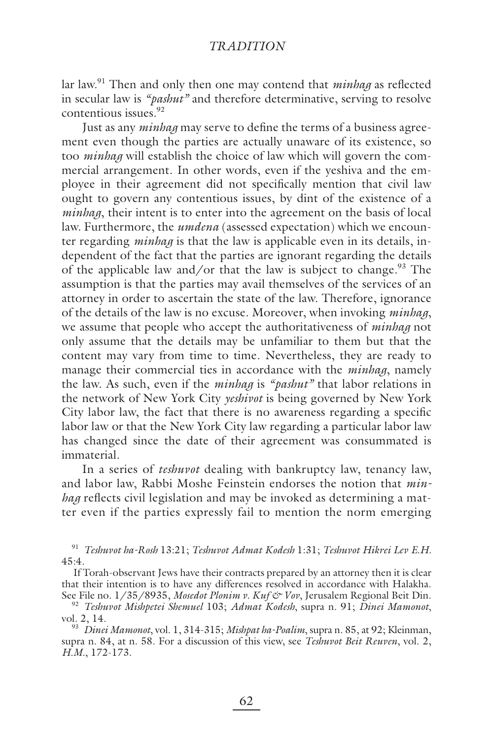lar law.<sup>91</sup> Then and only then one may contend that *minhag* as reflected in secular law is *"pashut"* and therefore determinative, serving to resolve contentious issues.<sup>92</sup>

Just as any *minhag* may serve to define the terms of a business agreement even though the parties are actually unaware of its existence, so too *minhag* will establish the choice of law which will govern the commercial arrangement. In other words, even if the yeshiva and the employee in their agreement did not specifically mention that civil law ought to govern any contentious issues, by dint of the existence of a *minhag*, their intent is to enter into the agreement on the basis of local law. Furthermore, the *umdena* (assessed expectation) which we encounter regarding *minhag* is that the law is applicable even in its details, independent of the fact that the parties are ignorant regarding the details of the applicable law and/or that the law is subject to change.<sup>93</sup> The assumption is that the parties may avail themselves of the services of an attorney in order to ascertain the state of the law. Therefore, ignorance of the details of the law is no excuse. Moreover, when invoking *minhag*, we assume that people who accept the authoritativeness of *minhag* not only assume that the details may be unfamiliar to them but that the content may vary from time to time. Nevertheless, they are ready to manage their commercial ties in accordance with the *minhag*, namely the law. As such, even if the *minhag* is *"pashut"* that labor relations in the network of New York City *yeshivot* is being governed by New York City labor law, the fact that there is no awareness regarding a specific labor law or that the New York City law regarding a particular labor law has changed since the date of their agreement was consummated is immaterial.

In a series of *teshuvot* dealing with bankruptcy law, tenancy law, and labor law, Rabbi Moshe Feinstein endorses the notion that *minhag* reflects civil legislation and may be invoked as determining a matter even if the parties expressly fail to mention the norm emerging

<sup>91</sup> *Teshuvot ha-Rosh* 13:21; *Teshuvot Admat Kodesh* 1:31; *Teshuvot Hikrei Lev E.H.* 45:4.

If Torah-observant Jews have their contracts prepared by an attorney then it is clear that their intention is to have any differences resolved in accordance with Halakha. See File no. 1/35/8935, *Mosedot Plonim v. Kuf & Vov*, Jerusalem Regional Beit Din.

<sup>93</sup> *Dinei Mamonot*, vol. 1, 314-315; *Mishpat ha-Poalim*, supra n. 85, at 92; Kleinman, supra n. 84, at n. 58. For a discussion of this view, see *Teshuvot Beit Reuven*, vol. 2, *H.M.*, 172-173.

<sup>92</sup> *Teshuvot Mishpetei Shemuel* 103; *Admat Kodesh*, supra n. 91; *Dinei Mamonot*, vol. 2, 14.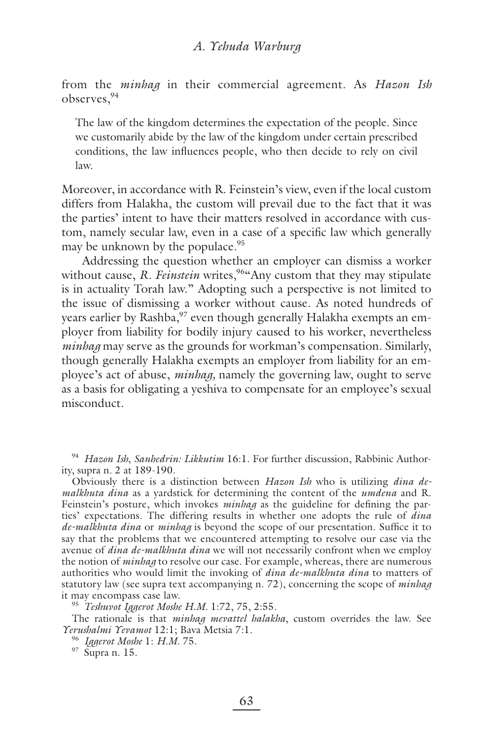from the *minhag* in their commercial agreement. As *Hazon Ish* observes,<sup>94</sup>

The law of the kingdom determines the expectation of the people. Since we customarily abide by the law of the kingdom under certain prescribed conditions, the law influences people, who then decide to rely on civil law.

Moreover, in accordance with R. Feinstein's view, even if the local custom differs from Halakha, the custom will prevail due to the fact that it was the parties' intent to have their matters resolved in accordance with custom, namely secular law, even in a case of a specific law which generally may be unknown by the populace.<sup>95</sup>

Addressing the question whether an employer can dismiss a worker without cause, *R. Feinstein* writes,<sup>964</sup>Any custom that they may stipulate is in actuality Torah law." Adopting such a perspective is not limited to the issue of dismissing a worker without cause. As noted hundreds of years earlier by Rashba,<sup>97</sup> even though generally Halakha exempts an employer from liability for bodily injury caused to his worker, nevertheless *minhag* may serve as the grounds for workman's compensation. Similarly, though generally Halakha exempts an employer from liability for an employee's act of abuse, *minhag,* namely the governing law, ought to serve as a basis for obligating a yeshiva to compensate for an employee's sexual misconduct.

<sup>94</sup> *Hazon Ish*, *Sanhedrin: Likkutim* 16:1. For further discussion, Rabbinic Authority, supra n. 2 at 189-190.

Obviously there is a distinction between *Hazon Ish* who is utilizing *dina demalkhuta dina* as a yardstick for determining the content of the *umdena* and R. Feinstein's posture, which invokes *minhag* as the guideline for defining the parties' expectations. The differing results in whether one adopts the rule of *dina de-malkhuta dina* or *minhag* is beyond the scope of our presentation. Suffice it to say that the problems that we encountered attempting to resolve our case via the avenue of *dina de-malkhuta dina* we will not necessarily confront when we employ the notion of *minhag* to resolve our case. For example, whereas, there are numerous authorities who would limit the invoking of *dina de-malkhuta dina* to matters of statutory law (see supra text accompanying n. 72), concerning the scope of *minhag* it may encompass case law.

<sup>95</sup> *Teshuvot Iggerot Moshe H.M.* 1:72, 75, 2:55.

The rationale is that *minhag mevattel halakha*, custom overrides the law. See *Yerushalmi Yevamot* 12:1; Bava Metsia 7:1.

<sup>96</sup> *Iggerot Moshe* 1: *H.M.* 75.

97 Supra n. 15.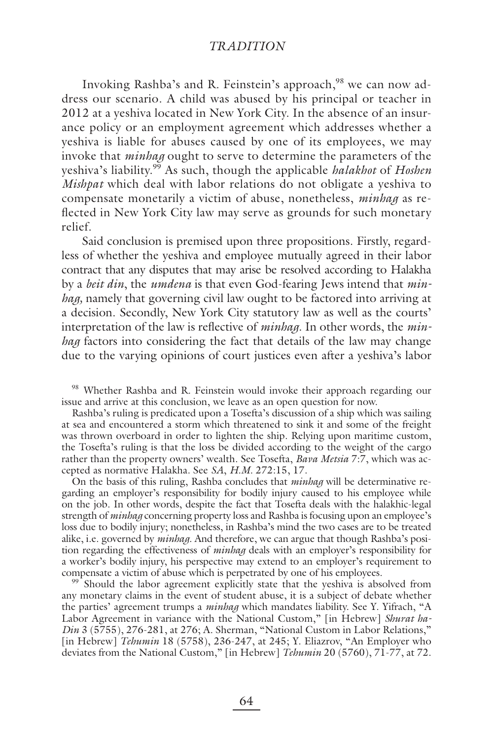Invoking Rashba's and R. Feinstein's approach,<sup>98</sup> we can now address our scenario. A child was abused by his principal or teacher in 2012 at a yeshiva located in New York City. In the absence of an insurance policy or an employment agreement which addresses whether a yeshiva is liable for abuses caused by one of its employees, we may invoke that *minhag* ought to serve to determine the parameters of the yeshiva's liability.99 As such, though the applicable *halakhot* of *Hoshen Mishpat* which deal with labor relations do not obligate a yeshiva to compensate monetarily a victim of abuse, nonetheless, *minhag* as reflected in New York City law may serve as grounds for such monetary relief.

Said conclusion is premised upon three propositions. Firstly, regardless of whether the yeshiva and employee mutually agreed in their labor contract that any disputes that may arise be resolved according to Halakha by a *beit din*, the *umdena* is that even God-fearing Jews intend that *minhag,* namely that governing civil law ought to be factored into arriving at a decision. Secondly, New York City statutory law as well as the courts' interpretation of the law is reflective of *minhag*. In other words, the *minhag* factors into considering the fact that details of the law may change due to the varying opinions of court justices even after a yeshiva's labor

<sup>98</sup> Whether Rashba and R. Feinstein would invoke their approach regarding our issue and arrive at this conclusion, we leave as an open question for now.

Rashba's ruling is predicated upon a Tosefta's discussion of a ship which was sailing at sea and encountered a storm which threatened to sink it and some of the freight was thrown overboard in order to lighten the ship. Relying upon maritime custom, the Tosefta's ruling is that the loss be divided according to the weight of the cargo rather than the property owners' wealth. See Tosefta, *Bava Metsia* 7:7, which was accepted as normative Halakha. See *SA*, *H.M.* 272:15, 17.

On the basis of this ruling, Rashba concludes that *minhag* will be determinative regarding an employer's responsibility for bodily injury caused to his employee while on the job. In other words, despite the fact that Tosefta deals with the halakhic-legal strength of *minhag* concerning property loss and Rashba is focusing upon an employee's loss due to bodily injury; nonetheless, in Rashba's mind the two cases are to be treated alike, i.e. governed by *minhag*. And therefore, we can argue that though Rashba's position regarding the effectiveness of *minhag* deals with an employer's responsibility for a worker's bodily injury, his perspective may extend to an employer's requirement to compensate a victim of abuse which is perpetrated by one of his employees.

<sup>99</sup> Should the labor agreement explicitly state that the yeshiva is absolved from any monetary claims in the event of student abuse, it is a subject of debate whether the parties' agreement trumps a *minhag* which mandates liability. See Y. Yifrach, "A Labor Agreement in variance with the National Custom," [in Hebrew] *Shurat ha-Din* 3 (5755), 276-281, at 276; A. Sherman, "National Custom in Labor Relations," [in Hebrew] *Tehumin* 18 (5758), 236-247, at 245; Y. Eliazrov, "An Employer who deviates from the National Custom," [in Hebrew] *Tehumin* 20 (5760), 71-77, at 72.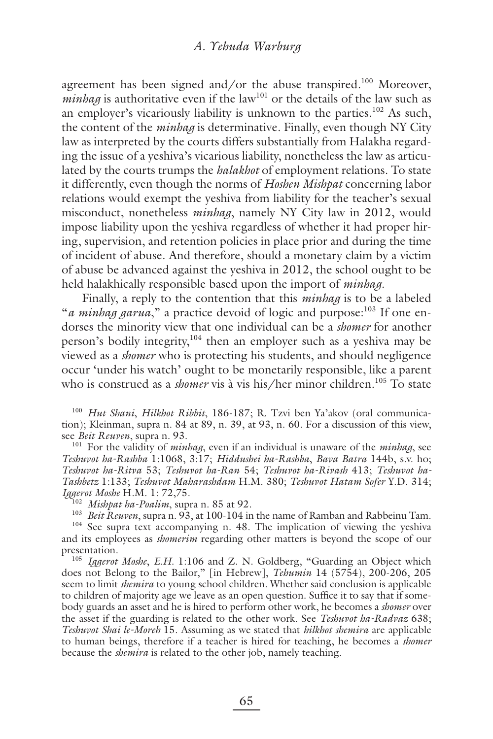agreement has been signed and/or the abuse transpired.<sup>100</sup> Moreover,  $minbag$  is authoritative even if the law<sup>101</sup> or the details of the law such as an employer's vicariously liability is unknown to the parties.<sup>102</sup> As such, the content of the *minhag* is determinative. Finally, even though NY City law as interpreted by the courts differs substantially from Halakha regarding the issue of a yeshiva's vicarious liability, nonetheless the law as articulated by the courts trumps the *halakhot* of employment relations. To state it differently, even though the norms of *Hoshen Mishpat* concerning labor relations would exempt the yeshiva from liability for the teacher's sexual misconduct, nonetheless *minhag*, namely NY City law in 2012, would impose liability upon the yeshiva regardless of whether it had proper hiring, supervision, and retention policies in place prior and during the time of incident of abuse. And therefore, should a monetary claim by a victim of abuse be advanced against the yeshiva in 2012, the school ought to be held halakhically responsible based upon the import of *minhag.*

Finally, a reply to the contention that this *minhag* is to be a labeled "*a minhag garua*," a practice devoid of logic and purpose:<sup>103</sup> If one endorses the minority view that one individual can be a *shomer* for another person's bodily integrity,104 then an employer such as a yeshiva may be viewed as a *shomer* who is protecting his students, and should negligence occur 'under his watch' ought to be monetarily responsible, like a parent who is construed as a *shomer* vis à vis his/her minor children.<sup>105</sup> To state

<sup>100</sup> *Hut Shani*, *Hilkhot Ribbit*, 186-187; R. Tzvi ben Ya'akov (oral communication); Kleinman, supra n. 84 at 89, n. 39, at 93, n. 60. For a discussion of this view, see *Beit Reuven*, supra n. 93.<br><sup>101</sup> For the validity of *minhag*, even if an individual is unaware of the *minhag*, see

*Teshuvot ha-Rashba* 1:1068, 3:17; *Hiddushei ha-Rashba*, *Bava Batra* 144b, s.v. ho; *Teshuvot ha-Ritva* 53; *Teshuvot ha-Ran* 54; *Teshuvot ha-Rivash* 413; *Teshuvot ha-Tashbetz* 1:133; *Teshuvot Maharashdam* H.M. 380; *Teshuvot Hatam Sofer* Y.D. 314; *Iggerot Moshe* H.M. 1: 72,75.

<sup>102</sup> *Mishpat ha-Poalim*, supra n. 85 at 92.

<sup>103</sup> *Beit Reuven*, supra n. 93, at 100-104 in the name of Ramban and Rabbeinu Tam.

<sup>104</sup> See supra text accompanying n. 48. The implication of viewing the yeshiva and its employees as *shomerim* regarding other matters is beyond the scope of our presentation.

<sup>105</sup> *Iggerot Moshe*, *E.H.* 1:106 and Z. N. Goldberg, "Guarding an Object which does not Belong to the Bailor," [in Hebrew], *Tehumin* 14 (5754), 200-206, 205 seem to limit *shemira* to young school children. Whether said conclusion is applicable to children of majority age we leave as an open question. Suffice it to say that if somebody guards an asset and he is hired to perform other work, he becomes a *shomer* over the asset if the guarding is related to the other work. See *Teshuvot ha-Radvaz* 638; *Teshuvot Shai le-Moreh* 15. Assuming as we stated that *hilkhot shemira* are applicable to human beings, therefore if a teacher is hired for teaching, he becomes a *shomer* because the *shemira* is related to the other job, namely teaching.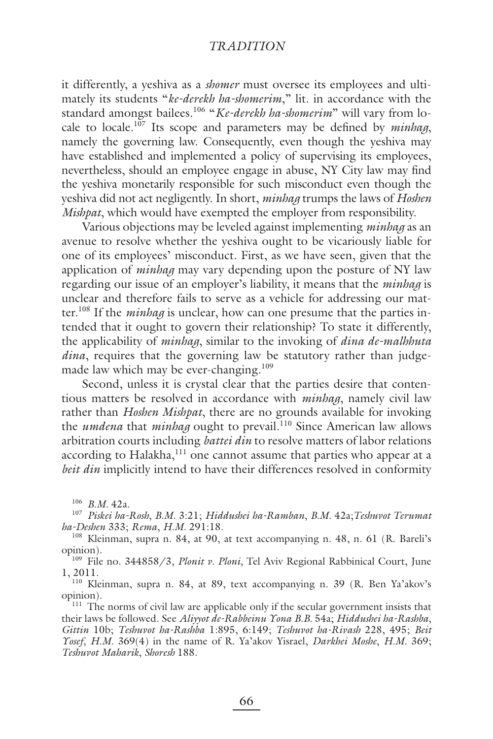it differently, a yeshiva as a *shomer* must oversee its employees and ultimately its students "*ke-derekh ha-shomerim*," lit. in accordance with the standard amongst bailees.<sup>106</sup> "Ke-derekh ha-shomerim" will vary from locale to locale.<sup>107</sup> Its scope and parameters may be defined by *minhag*, namely the governing law. Consequently, even though the yeshiva may have established and implemented a policy of supervising its employees, nevertheless, should an employee engage in abuse, NY City law may find the yeshiva monetarily responsible for such misconduct even though the yeshiva did not act negligently. In short, *minhag* trumps the laws of *Hoshen Mishpat*, which would have exempted the employer from responsibility.

Various objections may be leveled against implementing *minhag* as an avenue to resolve whether the yeshiva ought to be vicariously liable for one of its employees' misconduct. First, as we have seen, given that the application of *minhag* may vary depending upon the posture of NY law regarding our issue of an employer's liability, it means that the *minhag* is unclear and therefore fails to serve as a vehicle for addressing our matter.108 If the *minhag* is unclear, how can one presume that the parties intended that it ought to govern their relationship? To state it differently, the applicability of *minhag*, similar to the invoking of *dina de-malhhuta dina*, requires that the governing law be statutory rather than judgemade law which may be ever-changing.<sup>109</sup>

Second, unless it is crystal clear that the parties desire that contentious matters be resolved in accordance with *minhag*, namely civil law rather than *Hoshen Mishpat*, there are no grounds available for invoking the *umdena* that *minhag* ought to prevail.110 Since American law allows arbitration courts including *battei din* to resolve matters of labor relations according to Halakha,<sup>111</sup> one cannot assume that parties who appear at a *beit din* implicitly intend to have their differences resolved in conformity

<sup>106</sup> *B.M.* 42a. 107 *Piskei ha-Rosh*, *B.M.* 3:21; *Hiddushei ha-Ramban*, *B.M.* 42a;*Teshuvot Terumat ha-Deshen* 333; *Rema*, *H.M.* 291:18.

<sup>108</sup> Kleinman, supra n. 84, at 90, at text accompanying n. 48, n. 61 (R. Bareli's opinion).

109 File no. 344858/3, *Plonit v. Ploni*, Tel Aviv Regional Rabbinical Court, June 1, 2011.

110 Kleinman, supra n. 84, at 89, text accompanying n. 39 (R. Ben Ya'akov's opinion).

<sup>111</sup> The norms of civil law are applicable only if the secular government insists that their laws be followed. See *Aliyyot de-Rabbeinu Yona B.B.* 54a; *Hiddushei ha-Rashba*, *Gittin* 10b; *Teshuvot ha-Rashba* 1:895, 6:149; *Teshuvot ha-Rivash* 228, 495; *Beit Yosef*, *H.M.* 369(4) in the name of R. Ya'akov Yisrael, *Darkhei Moshe*, *H.M.* 369; *Teshuvot Maharik*, *Shoresh* 188.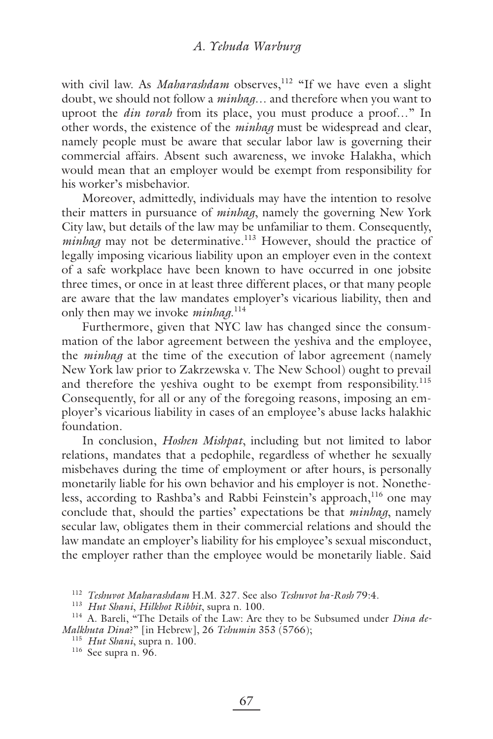with civil law. As *Maharashdam* observes,<sup>112</sup> "If we have even a slight doubt, we should not follow a *minhag*… and therefore when you want to uproot the *din torah* from its place, you must produce a proof…" In other words, the existence of the *minhag* must be widespread and clear, namely people must be aware that secular labor law is governing their commercial affairs. Absent such awareness, we invoke Halakha, which would mean that an employer would be exempt from responsibility for his worker's misbehavior.

Moreover, admittedly, individuals may have the intention to resolve their matters in pursuance of *minhag*, namely the governing New York City law, but details of the law may be unfamiliar to them. Consequently, *minhag* may not be determinative.<sup>113</sup> However, should the practice of legally imposing vicarious liability upon an employer even in the context of a safe workplace have been known to have occurred in one jobsite three times, or once in at least three different places, or that many people are aware that the law mandates employer's vicarious liability, then and only then may we invoke *minhag*. 114

Furthermore, given that NYC law has changed since the consummation of the labor agreement between the yeshiva and the employee, the *minhag* at the time of the execution of labor agreement (namely New York law prior to Zakrzewska v. The New School) ought to prevail and therefore the yeshiva ought to be exempt from responsibility.<sup>115</sup> Consequently, for all or any of the foregoing reasons, imposing an employer's vicarious liability in cases of an employee's abuse lacks halakhic foundation.

In conclusion, *Hoshen Mishpat*, including but not limited to labor relations, mandates that a pedophile, regardless of whether he sexually misbehaves during the time of employment or after hours, is personally monetarily liable for his own behavior and his employer is not. Nonetheless, according to Rashba's and Rabbi Feinstein's approach,<sup>116</sup> one may conclude that, should the parties' expectations be that *minhag*, namely secular law, obligates them in their commercial relations and should the law mandate an employer's liability for his employee's sexual misconduct, the employer rather than the employee would be monetarily liable. Said

<sup>112</sup> *Teshuvot Maharashdam* H.M. 327. See also *Teshuvot ha-Rosh* 79:4.

<sup>113</sup> *Hut Shani*, *Hilkhot Ribbit*, supra n. 100.

<sup>&</sup>lt;sup>114</sup> A. Bareli, "The Details of the Law: Are they to be Subsumed under *Dina de-Malkhuta Dina*?" [in Hebrew], 26 *Tehumin* 353 (5766); 115 *Hut Shani*, supra n. 100.

<sup>116</sup> See supra n. 96.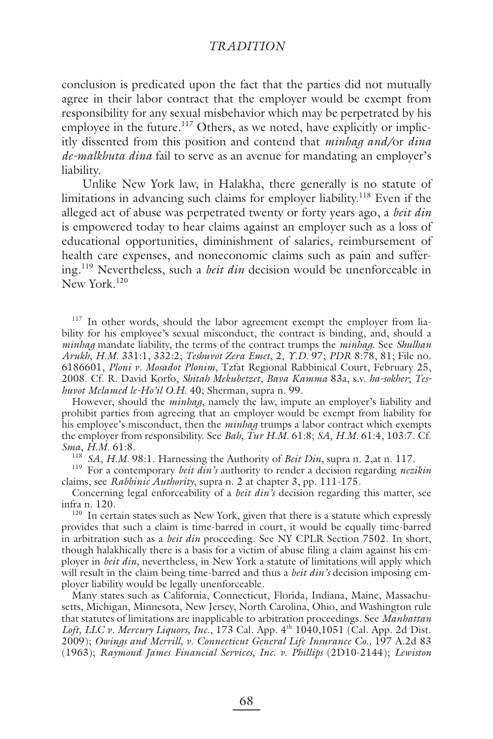conclusion is predicated upon the fact that the parties did not mutually agree in their labor contract that the employer would be exempt from responsibility for any sexual misbehavior which may be perpetrated by his employee in the future.<sup>117</sup> Others, as we noted, have explicitly or implicitly dissented from this position and contend that *minhag and/*or *dina de-malkhuta dina* fail to serve as an avenue for mandating an employer's liability.

Unlike New York law, in Halakha, there generally is no statute of limitations in advancing such claims for employer liability.<sup>118</sup> Even if the alleged act of abuse was perpetrated twenty or forty years ago, a *beit din* is empowered today to hear claims against an employer such as a loss of educational opportunities, diminishment of salaries, reimbursement of health care expenses, and noneconomic claims such as pain and suffering.119 Nevertheless, such a *beit din* decision would be unenforceable in New York.<sup>120</sup>

<sup>117</sup> In other words, should the labor agreement exempt the employer from liability for his employee's sexual misconduct, the contract is binding, and, should a *minhag* mandate liability, the terms of the contract trumps the *minhag*. See *Shulhan Arukh*, *H.M.* 331:1, 332:2; *Teshuvot Zera Emet*, 2, *Y.D.* 97; *PDR* 8:78, 81; File no. 6186601, *Ploni v. Mosadot Plonim*, Tzfat Regional Rabbinical Court, February 25, 2008. Cf. R. David Korfo, *Shitah Mekubetzet*, *Bava Kamma* 83a, s.v. *ha-sokher*; *Teshuvot Melamed le-Ho'il O.H.* 40; Sherman, supra n. 99.

However, should the *minhag*, namely the law, impute an employer's liability and prohibit parties from agreeing that an employer would be exempt from liability for his employee's misconduct, then the *minhag* trumps a labor contract which exempts the employer from responsibility. See *Bah*, *Tur H.M.* 61:8; *SA*, *H.M.* 61:4, 103:7. Cf. *Sma*, *H.M.* 61:8. 118 *SA*, *H.M.* 98:1. Harnessing the Authority of *Beit Din*, supra n. 2,at n. 117.

119 For a contemporary *beit din's* authority to render a decision regarding *nezikin* claims, see *Rabbinic Authority*, supra n. 2 at chapter 3, pp. 111-175.

Concerning legal enforceability of a *beit din's* decision regarding this matter, see infra n. 120.

<sup>120</sup> In certain states such as New York, given that there is a statute which expressly provides that such a claim is time-barred in court, it would be equally time-barred in arbitration such as a *beit din* proceeding. See NY CPLR Section 7502. In short, though halakhically there is a basis for a victim of abuse filing a claim against his employer in *beit din,* nevertheless, in New York a statute of limitations will apply which will result in the claim being time-barred and thus a *beit din's* decision imposing employer liability would be legally unenforceable.

Many states such as California, Connecticut, Florida, Indiana, Maine, Massachusetts, Michigan, Minnesota, New Jersey, North Carolina, Ohio, and Washington rule that statutes of limitations are inapplicable to arbitration proceedings. See *Manhattan*  Loft, LLC v. Mercury Liquors, *Inc.*, 173 Cal. App. 4<sup>th</sup> 1040,1051 (Cal. App. 2d Dist. 2009); *Owings and Merrill, v. Connecticut General Life Insurance Co.,* 197 A.2d 83 (1963); *Raymond James Financial Services, Inc. v. Phillips* (2D10-2144); *Lewiston*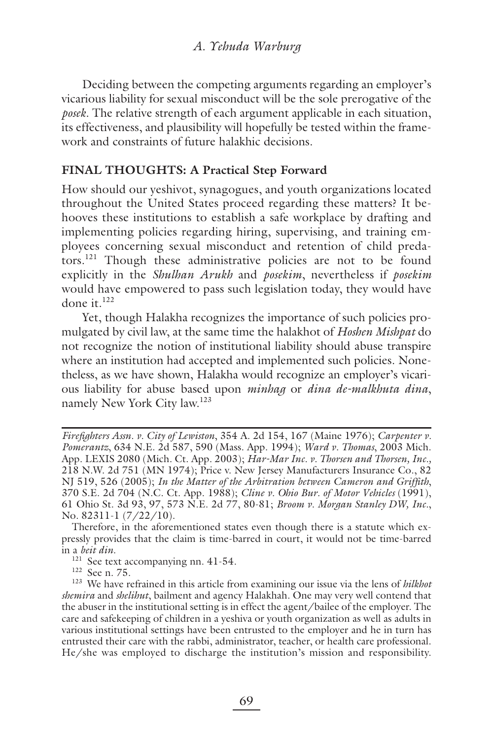Deciding between the competing arguments regarding an employer's vicarious liability for sexual misconduct will be the sole prerogative of the *posek*. The relative strength of each argument applicable in each situation, its effectiveness, and plausibility will hopefully be tested within the framework and constraints of future halakhic decisions.

# **FINAL THOUGHTS: A Practical Step Forward**

How should our yeshivot, synagogues, and youth organizations located throughout the United States proceed regarding these matters? It behooves these institutions to establish a safe workplace by drafting and implementing policies regarding hiring, supervising, and training employees concerning sexual misconduct and retention of child predators.121 Though these administrative policies are not to be found explicitly in the *Shulhan Arukh* and *posekim*, nevertheless if *posekim* would have empowered to pass such legislation today, they would have done it. $122$ 

Yet, though Halakha recognizes the importance of such policies promulgated by civil law, at the same time the halakhot of *Hoshen Mishpat* do not recognize the notion of institutional liability should abuse transpire where an institution had accepted and implemented such policies. Nonetheless, as we have shown, Halakha would recognize an employer's vicarious liability for abuse based upon *minhag* or *dina de-malkhuta dina*, namely New York City law.123

Therefore, in the aforementioned states even though there is a statute which expressly provides that the claim is time-barred in court, it would not be time-barred in a *beit din*.

*Firefighters Assn. v. City of Lewiston*, 354 A. 2d 154, 167 (Maine 1976); *Carpenter v. Pomerantz*, 634 N.E. 2d 587, 590 (Mass. App. 1994); *Ward v. Thomas*, 2003 Mich. App. LEXIS 2080 (Mich. Ct. App. 2003); *Har-Mar Inc. v. Thorsen and Thorsen, Inc.,* 218 N.W. 2d 751 (MN 1974); Price v. New Jersey Manufacturers Insurance Co., 82 NJ 519, 526 (2005); *In the Matter of the Arbitration between Cameron and Griffi th*, 370 S.E. 2d 704 (N.C. Ct. App. 1988); *Cline v. Ohio Bur. of Motor Vehicles* (1991), 61 Ohio St. 3d 93, 97, 573 N.E. 2d 77, 80-81; *Broom v. Morgan Stanley DW, Inc.*, No. 82311-1 (7/22/10).

<sup>&</sup>lt;sup>121</sup> See text accompanying nn. 41-54.<br><sup>122</sup> See n. 75.

<sup>&</sup>lt;sup>123</sup> We have refrained in this article from examining our issue via the lens of *hilkhot shemira* and *shelihut*, bailment and agency Halakhah. One may very well contend that the abuser in the institutional setting is in effect the agent/bailee of the employer. The care and safekeeping of children in a yeshiva or youth organization as well as adults in various institutional settings have been entrusted to the employer and he in turn has entrusted their care with the rabbi, administrator, teacher, or health care professional. He/she was employed to discharge the institution's mission and responsibility.